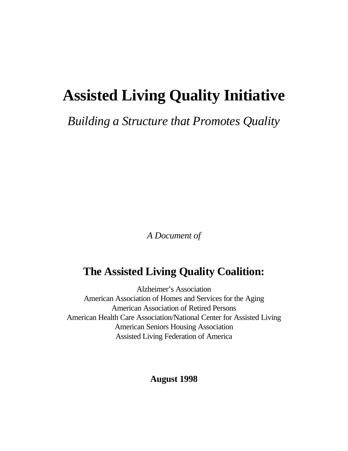# **Assisted Living Quality Initiative**

*Building a Structure that Promotes Quality*

*A Document of*

## **The Assisted Living Quality Coalition:**

Alzheimer's Association American Association of Homes and Services for the Aging American Association of Retired Persons American Health Care Association/National Center for Assisted Living American Seniors Housing Association Assisted Living Federation of America

## **August 1998**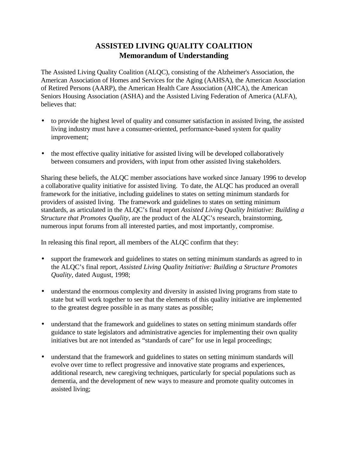## **ASSISTED LIVING QUALITY COALITION Memorandum of Understanding**

The Assisted Living Quality Coalition (ALQC), consisting of the Alzheimer's Association, the American Association of Homes and Services for the Aging (AAHSA), the American Association of Retired Persons (AARP), the American Health Care Association (AHCA), the American Seniors Housing Association (ASHA) and the Assisted Living Federation of America (ALFA), believes that:

- to provide the highest level of quality and consumer satisfaction in assisted living, the assisted living industry must have a consumer-oriented, performance-based system for quality improvement;
- the most effective quality initiative for assisted living will be developed collaboratively between consumers and providers, with input from other assisted living stakeholders.

Sharing these beliefs, the ALQC member associations have worked since January 1996 to develop a collaborative quality initiative for assisted living. To date, the ALQC has produced an overall framework for the initiative, including guidelines to states on setting minimum standards for providers of assisted living. The framework and guidelines to states on setting minimum standards, as articulated in the ALQC's final report *Assisted Living Quality Initiative: Building a Structure that Promotes Quality*, are the product of the ALQC's research, brainstorming, numerous input forums from all interested parties, and most importantly, compromise.

In releasing this final report, all members of the ALQC confirm that they:

- support the framework and guidelines to states on setting minimum standards as agreed to in the ALQC's final report, *Assisted Living Quality Initiative: Building a Structure Promotes Quality,* dated August, 1998;
- understand the enormous complexity and diversity in assisted living programs from state to state but will work together to see that the elements of this quality initiative are implemented to the greatest degree possible in as many states as possible;
- understand that the framework and guidelines to states on setting minimum standards offer guidance to state legislators and administrative agencies for implementing their own quality initiatives but are not intended as "standards of care" for use in legal proceedings;
- understand that the framework and guidelines to states on setting minimum standards will evolve over time to reflect progressive and innovative state programs and experiences, additional research, new caregiving techniques, particularly for special populations such as dementia, and the development of new ways to measure and promote quality outcomes in assisted living;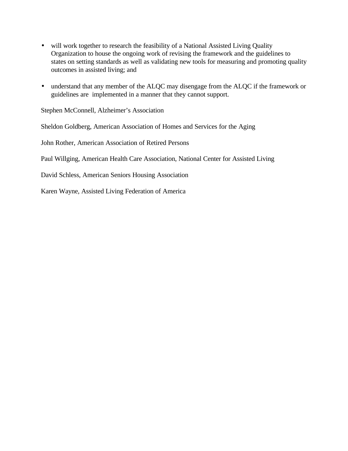- will work together to research the feasibility of a National Assisted Living Quality Organization to house the ongoing work of revising the framework and the guidelines to states on setting standards as well as validating new tools for measuring and promoting quality outcomes in assisted living; and
- understand that any member of the ALQC may disengage from the ALQC if the framework or guidelines are implemented in a manner that they cannot support.

Stephen McConnell, Alzheimer's Association

Sheldon Goldberg, American Association of Homes and Services for the Aging

John Rother, American Association of Retired Persons

Paul Willging, American Health Care Association, National Center for Assisted Living

David Schless, American Seniors Housing Association

Karen Wayne, Assisted Living Federation of America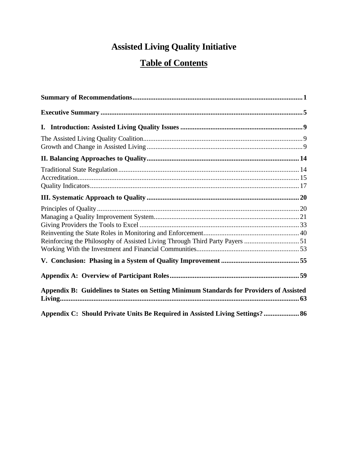## **Assisted Living Quality Initiative**

## **Table of Contents**

| Reinforcing the Philosophy of Assisted Living Through Third Party Payers  51            |  |
|-----------------------------------------------------------------------------------------|--|
|                                                                                         |  |
|                                                                                         |  |
| Appendix B: Guidelines to States on Setting Minimum Standards for Providers of Assisted |  |
| Appendix C: Should Private Units Be Required in Assisted Living Settings? 86            |  |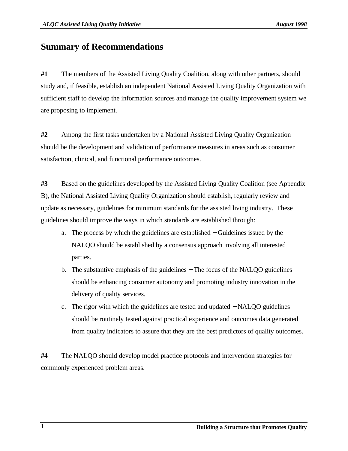## **Summary of Recommendations**

**#1** The members of the Assisted Living Quality Coalition, along with other partners, should study and, if feasible, establish an independent National Assisted Living Quality Organization with sufficient staff to develop the information sources and manage the quality improvement system we are proposing to implement.

**#2** Among the first tasks undertaken by a National Assisted Living Quality Organization should be the development and validation of performance measures in areas such as consumer satisfaction, clinical, and functional performance outcomes.

**#3** Based on the guidelines developed by the Assisted Living Quality Coalition (see Appendix B), the National Assisted Living Quality Organization should establish, regularly review and update as necessary, guidelines for minimum standards for the assisted living industry. These guidelines should improve the ways in which standards are established through:

- a. The process by which the guidelines are established − Guidelines issued by the NALQO should be established by a consensus approach involving all interested parties.
- b. The substantive emphasis of the guidelines − The focus of the NALQO guidelines should be enhancing consumer autonomy and promoting industry innovation in the delivery of quality services.
- c. The rigor with which the guidelines are tested and updated − NALQO guidelines should be routinely tested against practical experience and outcomes data generated from quality indicators to assure that they are the best predictors of quality outcomes.

**#4** The NALQO should develop model practice protocols and intervention strategies for commonly experienced problem areas.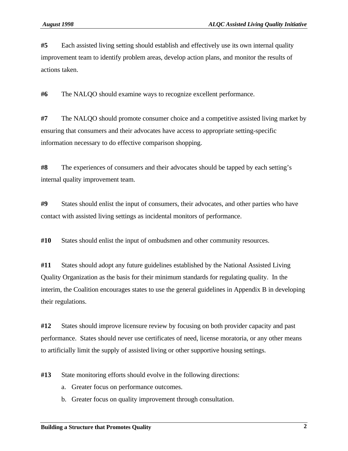**#5** Each assisted living setting should establish and effectively use its own internal quality improvement team to identify problem areas, develop action plans, and monitor the results of actions taken.

**#6** The NALQO should examine ways to recognize excellent performance.

**#7** The NALQO should promote consumer choice and a competitive assisted living market by ensuring that consumers and their advocates have access to appropriate setting-specific information necessary to do effective comparison shopping.

**#8** The experiences of consumers and their advocates should be tapped by each setting's internal quality improvement team.

**#9** States should enlist the input of consumers, their advocates, and other parties who have contact with assisted living settings as incidental monitors of performance.

**#10** States should enlist the input of ombudsmen and other community resources.

**#11** States should adopt any future guidelines established by the National Assisted Living Quality Organization as the basis for their minimum standards for regulating quality. In the interim, the Coalition encourages states to use the general guidelines in Appendix B in developing their regulations.

**#12** States should improve licensure review by focusing on both provider capacity and past performance. States should never use certificates of need, license moratoria, or any other means to artificially limit the supply of assisted living or other supportive housing settings.

**#13** State monitoring efforts should evolve in the following directions:

- a. Greater focus on performance outcomes.
- b. Greater focus on quality improvement through consultation.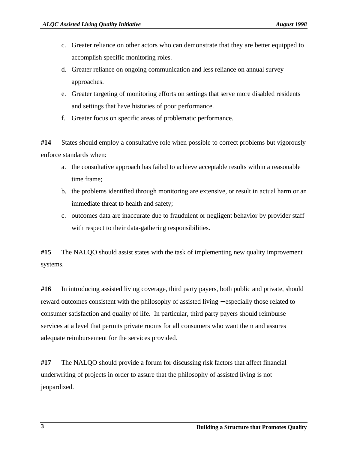- c. Greater reliance on other actors who can demonstrate that they are better equipped to accomplish specific monitoring roles.
- d. Greater reliance on ongoing communication and less reliance on annual survey approaches.
- e. Greater targeting of monitoring efforts on settings that serve more disabled residents and settings that have histories of poor performance.
- f. Greater focus on specific areas of problematic performance.

**#14** States should employ a consultative role when possible to correct problems but vigorously enforce standards when:

- a. the consultative approach has failed to achieve acceptable results within a reasonable time frame;
- b. the problems identified through monitoring are extensive, or result in actual harm or an immediate threat to health and safety;
- c. outcomes data are inaccurate due to fraudulent or negligent behavior by provider staff with respect to their data-gathering responsibilities.

**#15** The NALQO should assist states with the task of implementing new quality improvement systems.

**#16** In introducing assisted living coverage, third party payers, both public and private, should reward outcomes consistent with the philosophy of assisted living − especially those related to consumer satisfaction and quality of life. In particular, third party payers should reimburse services at a level that permits private rooms for all consumers who want them and assures adequate reimbursement for the services provided.

**#17** The NALQO should provide a forum for discussing risk factors that affect financial underwriting of projects in order to assure that the philosophy of assisted living is not jeopardized.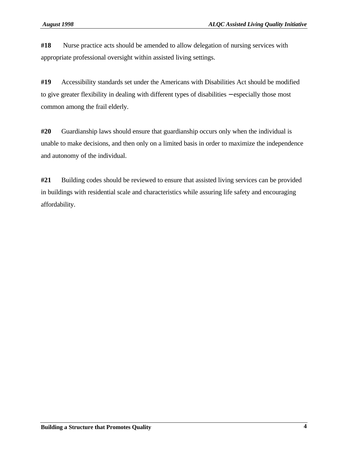**#18** Nurse practice acts should be amended to allow delegation of nursing services with appropriate professional oversight within assisted living settings.

**#19** Accessibility standards set under the Americans with Disabilities Act should be modified to give greater flexibility in dealing with different types of disabilities − especially those most common among the frail elderly.

**#20** Guardianship laws should ensure that guardianship occurs only when the individual is unable to make decisions, and then only on a limited basis in order to maximize the independence and autonomy of the individual.

**#21** Building codes should be reviewed to ensure that assisted living services can be provided in buildings with residential scale and characteristics while assuring life safety and encouraging affordability.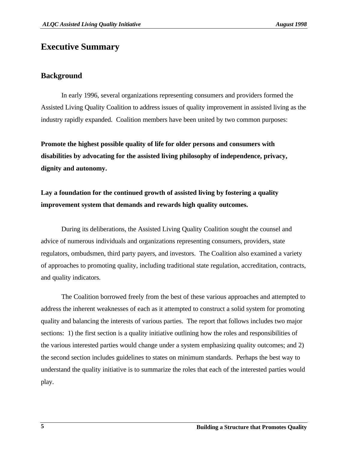## **Executive Summary**

## **Background**

In early 1996, several organizations representing consumers and providers formed the Assisted Living Quality Coalition to address issues of quality improvement in assisted living as the industry rapidly expanded. Coalition members have been united by two common purposes:

**Promote the highest possible quality of life for older persons and consumers with disabilities by advocating for the assisted living philosophy of independence, privacy, dignity and autonomy.**

## **Lay a foundation for the continued growth of assisted living by fostering a quality improvement system that demands and rewards high quality outcomes.**

During its deliberations, the Assisted Living Quality Coalition sought the counsel and advice of numerous individuals and organizations representing consumers, providers, state regulators, ombudsmen, third party payers, and investors. The Coalition also examined a variety of approaches to promoting quality, including traditional state regulation, accreditation, contracts, and quality indicators.

The Coalition borrowed freely from the best of these various approaches and attempted to address the inherent weaknesses of each as it attempted to construct a solid system for promoting quality and balancing the interests of various parties. The report that follows includes two major sections: 1) the first section is a quality initiative outlining how the roles and responsibilities of the various interested parties would change under a system emphasizing quality outcomes; and 2) the second section includes guidelines to states on minimum standards. Perhaps the best way to understand the quality initiative is to summarize the roles that each of the interested parties would play.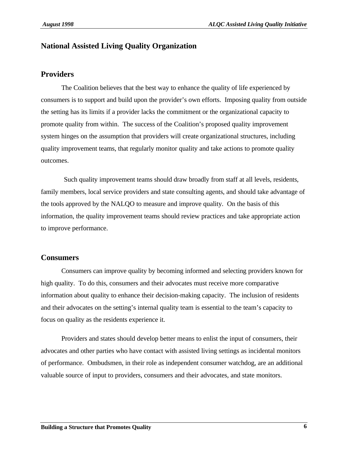## **National Assisted Living Quality Organization**

## **Providers**

The Coalition believes that the best way to enhance the quality of life experienced by consumers is to support and build upon the provider's own efforts. Imposing quality from outside the setting has its limits if a provider lacks the commitment or the organizational capacity to promote quality from within. The success of the Coalition's proposed quality improvement system hinges on the assumption that providers will create organizational structures, including quality improvement teams, that regularly monitor quality and take actions to promote quality outcomes.

 Such quality improvement teams should draw broadly from staff at all levels, residents, family members, local service providers and state consulting agents, and should take advantage of the tools approved by the NALQO to measure and improve quality. On the basis of this information, the quality improvement teams should review practices and take appropriate action to improve performance.

## **Consumers**

Consumers can improve quality by becoming informed and selecting providers known for high quality. To do this, consumers and their advocates must receive more comparative information about quality to enhance their decision-making capacity. The inclusion of residents and their advocates on the setting's internal quality team is essential to the team's capacity to focus on quality as the residents experience it.

Providers and states should develop better means to enlist the input of consumers, their advocates and other parties who have contact with assisted living settings as incidental monitors of performance. Ombudsmen, in their role as independent consumer watchdog, are an additional valuable source of input to providers, consumers and their advocates, and state monitors.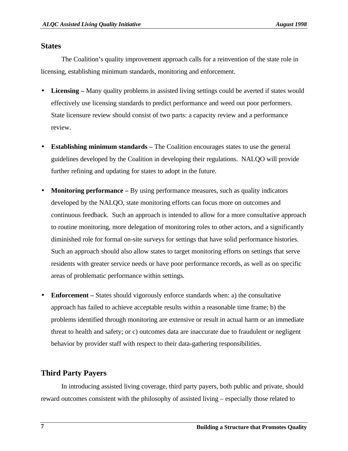## **States**

The Coalition's quality improvement approach calls for a reinvention of the state role in licensing, establishing minimum standards, monitoring and enforcement.

- **Licensing** Many quality problems in assisted living settings could be averted if states would effectively use licensing standards to predict performance and weed out poor performers. State licensure review should consist of two parts: a capacity review and a performance review.
- **Establishing minimum standards** The Coalition encourages states to use the general guidelines developed by the Coalition in developing their regulations. NALQO will provide further refining and updating for states to adopt in the future.
- **Monitoring performance** By using performance measures, such as quality indicators developed by the NALQO, state monitoring efforts can focus more on outcomes and continuous feedback. Such an approach is intended to allow for a more consultative approach to routine monitoring, more delegation of monitoring roles to other actors, and a significantly diminished role for formal on-site surveys for settings that have solid performance histories. Such an approach should also allow states to target monitoring efforts on settings that serve residents with greater service needs or have poor performance records, as well as on specific areas of problematic performance within settings.
- **Enforcement** States should vigorously enforce standards when: a) the consultative approach has failed to achieve acceptable results within a reasonable time frame; b) the problems identified through monitoring are extensive or result in actual harm or an immediate threat to health and safety; or c) outcomes data are inaccurate due to fraudulent or negligent behavior by provider staff with respect to their data-gathering responsibilities.

## **Third Party Payers**

In introducing assisted living coverage, third party payers, both public and private, should reward outcomes consistent with the philosophy of assisted living – especially those related to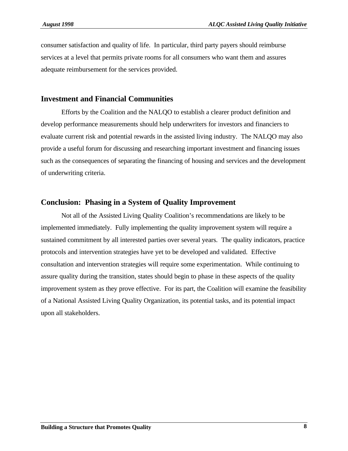consumer satisfaction and quality of life. In particular, third party payers should reimburse services at a level that permits private rooms for all consumers who want them and assures adequate reimbursement for the services provided.

#### **Investment and Financial Communities**

Efforts by the Coalition and the NALQO to establish a clearer product definition and develop performance measurements should help underwriters for investors and financiers to evaluate current risk and potential rewards in the assisted living industry. The NALQO may also provide a useful forum for discussing and researching important investment and financing issues such as the consequences of separating the financing of housing and services and the development of underwriting criteria.

#### **Conclusion: Phasing in a System of Quality Improvement**

Not all of the Assisted Living Quality Coalition's recommendations are likely to be implemented immediately. Fully implementing the quality improvement system will require a sustained commitment by all interested parties over several years. The quality indicators, practice protocols and intervention strategies have yet to be developed and validated. Effective consultation and intervention strategies will require some experimentation. While continuing to assure quality during the transition, states should begin to phase in these aspects of the quality improvement system as they prove effective. For its part, the Coalition will examine the feasibility of a National Assisted Living Quality Organization, its potential tasks, and its potential impact upon all stakeholders.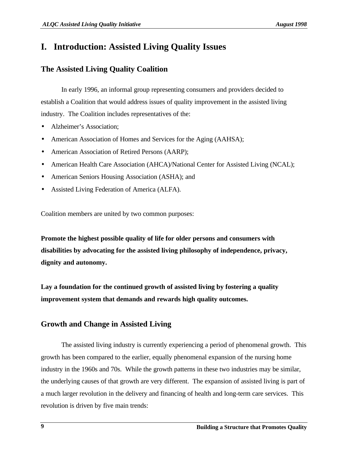## **I. Introduction: Assisted Living Quality Issues**

## **The Assisted Living Quality Coalition**

In early 1996, an informal group representing consumers and providers decided to establish a Coalition that would address issues of quality improvement in the assisted living industry. The Coalition includes representatives of the:

- Alzheimer's Association;
- American Association of Homes and Services for the Aging (AAHSA);
- American Association of Retired Persons (AARP);
- American Health Care Association (AHCA)/National Center for Assisted Living (NCAL);
- American Seniors Housing Association (ASHA); and
- Assisted Living Federation of America (ALFA).

Coalition members are united by two common purposes:

**Promote the highest possible quality of life for older persons and consumers with disabilities by advocating for the assisted living philosophy of independence, privacy, dignity and autonomy.**

**Lay a foundation for the continued growth of assisted living by fostering a quality improvement system that demands and rewards high quality outcomes.**

## **Growth and Change in Assisted Living**

The assisted living industry is currently experiencing a period of phenomenal growth. This growth has been compared to the earlier, equally phenomenal expansion of the nursing home industry in the 1960s and 70s. While the growth patterns in these two industries may be similar, the underlying causes of that growth are very different. The expansion of assisted living is part of a much larger revolution in the delivery and financing of health and long-term care services. This revolution is driven by five main trends: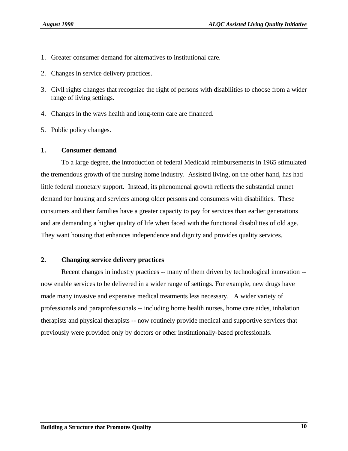- 1. Greater consumer demand for alternatives to institutional care.
- 2. Changes in service delivery practices.
- 3. Civil rights changes that recognize the right of persons with disabilities to choose from a wider range of living settings.
- 4. Changes in the ways health and long-term care are financed.
- 5. Public policy changes.

#### **1. Consumer demand**

To a large degree, the introduction of federal Medicaid reimbursements in 1965 stimulated the tremendous growth of the nursing home industry. Assisted living, on the other hand, has had little federal monetary support. Instead, its phenomenal growth reflects the substantial unmet demand for housing and services among older persons and consumers with disabilities. These consumers and their families have a greater capacity to pay for services than earlier generations and are demanding a higher quality of life when faced with the functional disabilities of old age. They want housing that enhances independence and dignity and provides quality services.

## **2. Changing service delivery practices**

Recent changes in industry practices -- many of them driven by technological innovation - now enable services to be delivered in a wider range of settings. For example, new drugs have made many invasive and expensive medical treatments less necessary. A wider variety of professionals and paraprofessionals -- including home health nurses, home care aides, inhalation therapists and physical therapists -- now routinely provide medical and supportive services that previously were provided only by doctors or other institutionally-based professionals.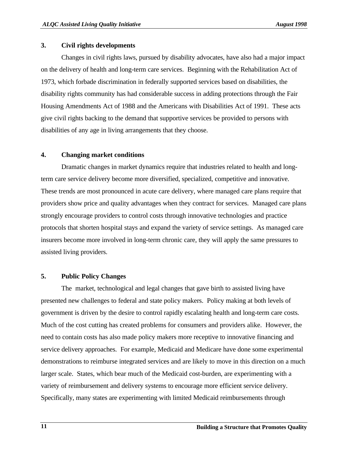#### **3. Civil rights developments**

Changes in civil rights laws, pursued by disability advocates, have also had a major impact on the delivery of health and long-term care services. Beginning with the Rehabilitation Act of 1973, which forbade discrimination in federally supported services based on disabilities, the disability rights community has had considerable success in adding protections through the Fair Housing Amendments Act of 1988 and the Americans with Disabilities Act of 1991. These acts give civil rights backing to the demand that supportive services be provided to persons with disabilities of any age in living arrangements that they choose.

## **4. Changing market conditions**

Dramatic changes in market dynamics require that industries related to health and longterm care service delivery become more diversified, specialized, competitive and innovative. These trends are most pronounced in acute care delivery, where managed care plans require that providers show price and quality advantages when they contract for services. Managed care plans strongly encourage providers to control costs through innovative technologies and practice protocols that shorten hospital stays and expand the variety of service settings. As managed care insurers become more involved in long-term chronic care, they will apply the same pressures to assisted living providers.

## **5. Public Policy Changes**

The market, technological and legal changes that gave birth to assisted living have presented new challenges to federal and state policy makers. Policy making at both levels of government is driven by the desire to control rapidly escalating health and long-term care costs. Much of the cost cutting has created problems for consumers and providers alike. However, the need to contain costs has also made policy makers more receptive to innovative financing and service delivery approaches. For example, Medicaid and Medicare have done some experimental demonstrations to reimburse integrated services and are likely to move in this direction on a much larger scale. States, which bear much of the Medicaid cost-burden, are experimenting with a variety of reimbursement and delivery systems to encourage more efficient service delivery. Specifically, many states are experimenting with limited Medicaid reimbursements through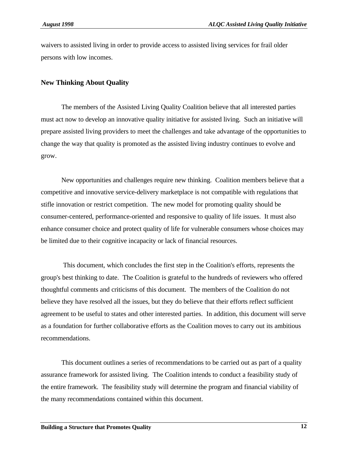waivers to assisted living in order to provide access to assisted living services for frail older persons with low incomes.

## **New Thinking About Quality**

The members of the Assisted Living Quality Coalition believe that all interested parties must act now to develop an innovative quality initiative for assisted living. Such an initiative will prepare assisted living providers to meet the challenges and take advantage of the opportunities to change the way that quality is promoted as the assisted living industry continues to evolve and grow.

New opportunities and challenges require new thinking. Coalition members believe that a competitive and innovative service-delivery marketplace is not compatible with regulations that stifle innovation or restrict competition. The new model for promoting quality should be consumer-centered, performance-oriented and responsive to quality of life issues. It must also enhance consumer choice and protect quality of life for vulnerable consumers whose choices may be limited due to their cognitive incapacity or lack of financial resources.

 This document, which concludes the first step in the Coalition's efforts, represents the group's best thinking to date. The Coalition is grateful to the hundreds of reviewers who offered thoughtful comments and criticisms of this document. The members of the Coalition do not believe they have resolved all the issues, but they do believe that their efforts reflect sufficient agreement to be useful to states and other interested parties. In addition, this document will serve as a foundation for further collaborative efforts as the Coalition moves to carry out its ambitious recommendations.

This document outlines a series of recommendations to be carried out as part of a quality assurance framework for assisted living. The Coalition intends to conduct a feasibility study of the entire framework. The feasibility study will determine the program and financial viability of the many recommendations contained within this document.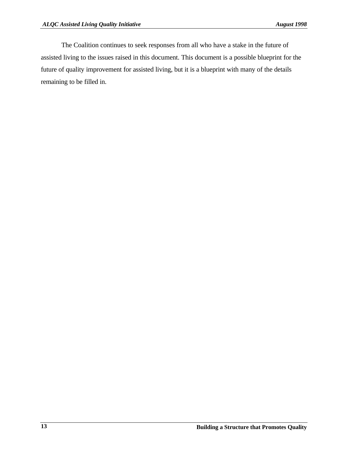The Coalition continues to seek responses from all who have a stake in the future of assisted living to the issues raised in this document. This document is a possible blueprint for the future of quality improvement for assisted living, but it is a blueprint with many of the details remaining to be filled in.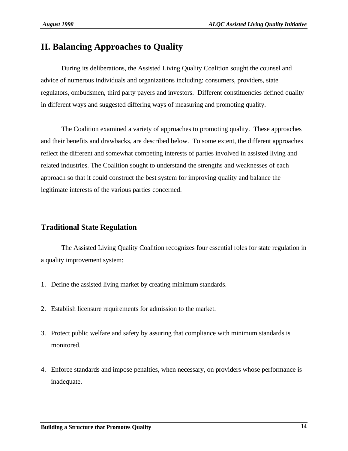## **II. Balancing Approaches to Quality**

During its deliberations, the Assisted Living Quality Coalition sought the counsel and advice of numerous individuals and organizations including: consumers, providers, state regulators, ombudsmen, third party payers and investors. Different constituencies defined quality in different ways and suggested differing ways of measuring and promoting quality.

The Coalition examined a variety of approaches to promoting quality. These approaches and their benefits and drawbacks, are described below. To some extent, the different approaches reflect the different and somewhat competing interests of parties involved in assisted living and related industries. The Coalition sought to understand the strengths and weaknesses of each approach so that it could construct the best system for improving quality and balance the legitimate interests of the various parties concerned.

## **Traditional State Regulation**

The Assisted Living Quality Coalition recognizes four essential roles for state regulation in a quality improvement system:

- 1. Define the assisted living market by creating minimum standards.
- 2. Establish licensure requirements for admission to the market.
- 3. Protect public welfare and safety by assuring that compliance with minimum standards is monitored.
- 4. Enforce standards and impose penalties, when necessary, on providers whose performance is inadequate.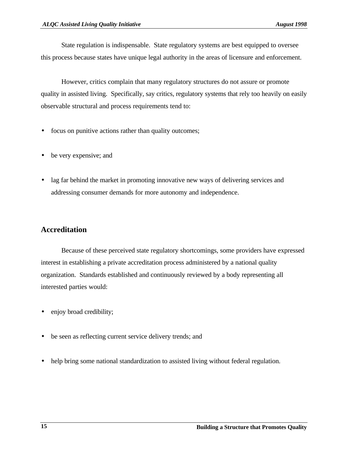State regulation is indispensable. State regulatory systems are best equipped to oversee this process because states have unique legal authority in the areas of licensure and enforcement.

However, critics complain that many regulatory structures do not assure or promote quality in assisted living. Specifically, say critics, regulatory systems that rely too heavily on easily observable structural and process requirements tend to:

- focus on punitive actions rather than quality outcomes;
- be very expensive; and
- lag far behind the market in promoting innovative new ways of delivering services and addressing consumer demands for more autonomy and independence.

## **Accreditation**

Because of these perceived state regulatory shortcomings, some providers have expressed interest in establishing a private accreditation process administered by a national quality organization. Standards established and continuously reviewed by a body representing all interested parties would:

- enjoy broad credibility;
- be seen as reflecting current service delivery trends; and
- help bring some national standardization to assisted living without federal regulation.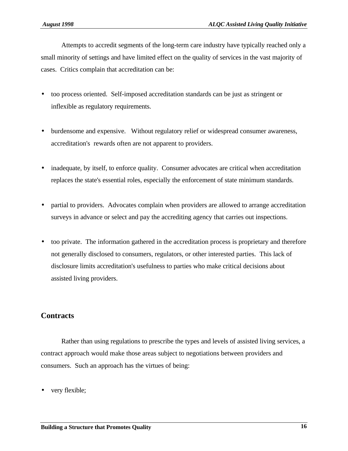Attempts to accredit segments of the long-term care industry have typically reached only a small minority of settings and have limited effect on the quality of services in the vast majority of cases. Critics complain that accreditation can be:

- too process oriented. Self-imposed accreditation standards can be just as stringent or inflexible as regulatory requirements.
- burdensome and expensive. Without regulatory relief or widespread consumer awareness, accreditation's rewards often are not apparent to providers.
- inadequate, by itself, to enforce quality. Consumer advocates are critical when accreditation replaces the state's essential roles, especially the enforcement of state minimum standards.
- partial to providers. Advocates complain when providers are allowed to arrange accreditation surveys in advance or select and pay the accrediting agency that carries out inspections.
- too private. The information gathered in the accreditation process is proprietary and therefore not generally disclosed to consumers, regulators, or other interested parties. This lack of disclosure limits accreditation's usefulness to parties who make critical decisions about assisted living providers.

## **Contracts**

Rather than using regulations to prescribe the types and levels of assisted living services, a contract approach would make those areas subject to negotiations between providers and consumers. Such an approach has the virtues of being:

very flexible;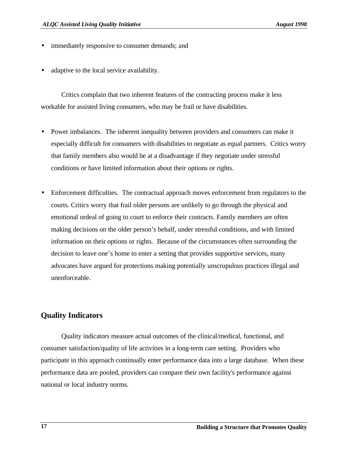- immediately responsive to consumer demands; and
- adaptive to the local service availability.

Critics complain that two inherent features of the contracting process make it less workable for assisted living consumers, who may be frail or have disabilities.

- Power imbalances. The inherent inequality between providers and consumers can make it especially difficult for consumers with disabilities to negotiate as equal partners. Critics worry that family members also would be at a disadvantage if they negotiate under stressful conditions or have limited information about their options or rights.
- Enforcement difficulties. The contractual approach moves enforcement from regulators to the courts. Critics worry that frail older persons are unlikely to go through the physical and emotional ordeal of going to court to enforce their contracts. Family members are often making decisions on the older person's behalf, under stressful conditions, and with limited information on their options or rights. Because of the circumstances often surrounding the decision to leave one's home to enter a setting that provides supportive services, many advocates have argued for protections making potentially unscrupulous practices illegal and unenforceable.

## **Quality Indicators**

Quality indicators measure actual outcomes of the clinical/medical, functional, and consumer satisfaction/quality of life activities in a long-term care setting. Providers who participate in this approach continually enter performance data into a large database. When these performance data are pooled, providers can compare their own facility's performance against national or local industry norms.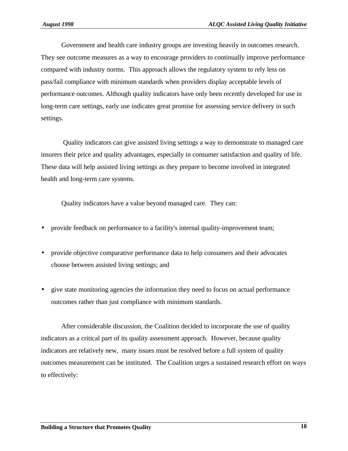Government and health care industry groups are investing heavily in outcomes research. They see outcome measures as a way to encourage providers to continually improve performance compared with industry norms. This approach allows the regulatory system to rely less on pass/fail compliance with minimum standards when providers display acceptable levels of performance outcomes. Although quality indicators have only been recently developed for use in long-term care settings, early use indicates great promise for assessing service delivery in such settings.

 Quality indicators can give assisted living settings a way to demonstrate to managed care insurers their price and quality advantages, especially in consumer satisfaction and quality of life. These data will help assisted living settings as they prepare to become involved in integrated health and long-term care systems.

Quality indicators have a value beyond managed care. They can:

- provide feedback on performance to a facility's internal quality-improvement team;
- provide objective comparative performance data to help consumers and their advocates choose between assisted living settings; and
- give state monitoring agencies the information they need to focus on actual performance outcomes rather than just compliance with minimum standards.

After considerable discussion, the Coalition decided to incorporate the use of quality indicators as a critical part of its quality assessment approach. However, because quality indicators are relatively new, many issues must be resolved before a full system of quality outcomes measurement can be instituted. The Coalition urges a sustained research effort on ways to effectively: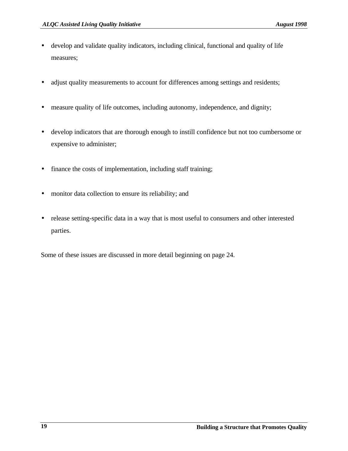- develop and validate quality indicators, including clinical, functional and quality of life measures;
- adjust quality measurements to account for differences among settings and residents;
- measure quality of life outcomes, including autonomy, independence, and dignity;
- develop indicators that are thorough enough to instill confidence but not too cumbersome or expensive to administer;
- finance the costs of implementation, including staff training;
- monitor data collection to ensure its reliability; and
- release setting-specific data in a way that is most useful to consumers and other interested parties.

Some of these issues are discussed in more detail beginning on page 24.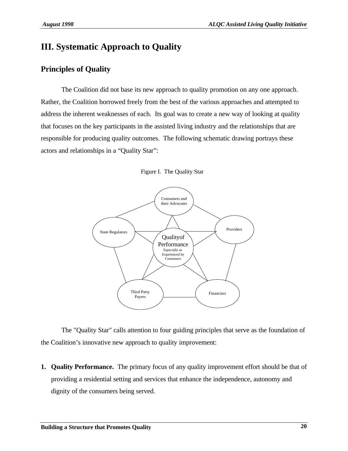## **III. Systematic Approach to Quality**

## **Principles of Quality**

The Coalition did not base its new approach to quality promotion on any one approach. Rather, the Coalition borrowed freely from the best of the various approaches and attempted to address the inherent weaknesses of each. Its goal was to create a new way of looking at quality that focuses on the key participants in the assisted living industry and the relationships that are responsible for producing quality outcomes. The following schematic drawing portrays these actors and relationships in a "Quality Star":





The "Quality Star" calls attention to four guiding principles that serve as the foundation of the Coalition's innovative new approach to quality improvement:

**1. Quality Performance.** The primary focus of any quality improvement effort should be that of providing a residential setting and services that enhance the independence, autonomy and dignity of the consumers being served.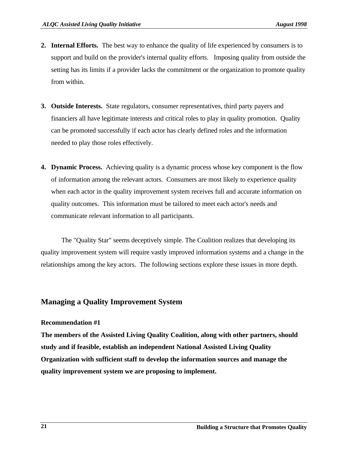- **2. Internal Efforts.** The best way to enhance the quality of life experienced by consumers is to support and build on the provider's internal quality efforts. Imposing quality from outside the setting has its limits if a provider lacks the commitment or the organization to promote quality from within.
- **3. Outside Interests.** State regulators, consumer representatives, third party payers and financiers all have legitimate interests and critical roles to play in quality promotion. Quality can be promoted successfully if each actor has clearly defined roles and the information needed to play those roles effectively.
- **4. Dynamic Process.** Achieving quality is a dynamic process whose key component is the flow of information among the relevant actors. Consumers are most likely to experience quality when each actor in the quality improvement system receives full and accurate information on quality outcomes. This information must be tailored to meet each actor's needs and communicate relevant information to all participants.

The "Quality Star" seems deceptively simple. The Coalition realizes that developing its quality improvement system will require vastly improved information systems and a change in the relationships among the key actors. The following sections explore these issues in more depth.

## **Managing a Quality Improvement System**

## **Recommendation #1**

**The members of the Assisted Living Quality Coalition, along with other partners, should study and if feasible, establish an independent National Assisted Living Quality Organization with sufficient staff to develop the information sources and manage the quality improvement system we are proposing to implement.**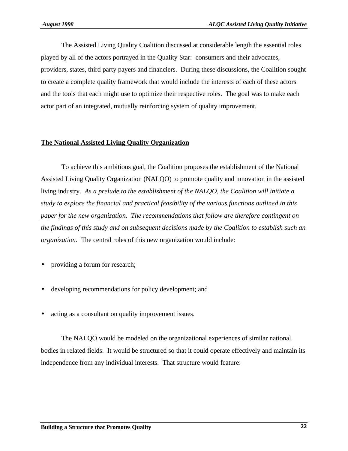The Assisted Living Quality Coalition discussed at considerable length the essential roles played by all of the actors portrayed in the Quality Star: consumers and their advocates, providers, states, third party payers and financiers. During these discussions, the Coalition sought to create a complete quality framework that would include the interests of each of these actors and the tools that each might use to optimize their respective roles. The goal was to make each actor part of an integrated, mutually reinforcing system of quality improvement.

## **The National Assisted Living Quality Organization**

To achieve this ambitious goal, the Coalition proposes the establishment of the National Assisted Living Quality Organization (NALQO) to promote quality and innovation in the assisted living industry. *As a prelude to the establishment of the NALQO, the Coalition will initiate a study to explore the financial and practical feasibility of the various functions outlined in this paper for the new organization. The recommendations that follow are therefore contingent on the findings of this study and on subsequent decisions made by the Coalition to establish such an organization.* The central roles of this new organization would include:

- providing a forum for research;
- developing recommendations for policy development; and
- acting as a consultant on quality improvement issues.

The NALQO would be modeled on the organizational experiences of similar national bodies in related fields. It would be structured so that it could operate effectively and maintain its independence from any individual interests. That structure would feature: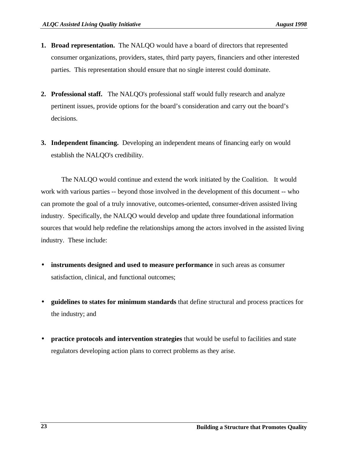- **1. Broad representation.** The NALQO would have a board of directors that represented consumer organizations, providers, states, third party payers, financiers and other interested parties. This representation should ensure that no single interest could dominate.
- **2. Professional staff.** The NALQO's professional staff would fully research and analyze pertinent issues, provide options for the board's consideration and carry out the board's decisions.
- **3. Independent financing.** Developing an independent means of financing early on would establish the NALQO's credibility.

The NALQO would continue and extend the work initiated by the Coalition. It would work with various parties -- beyond those involved in the development of this document -- who can promote the goal of a truly innovative, outcomes-oriented, consumer-driven assisted living industry. Specifically, the NALQO would develop and update three foundational information sources that would help redefine the relationships among the actors involved in the assisted living industry. These include:

- **instruments designed and used to measure performance** in such areas as consumer satisfaction, clinical, and functional outcomes;
- **guidelines to states for minimum standards** that define structural and process practices for the industry; and
- **practice protocols and intervention strategies** that would be useful to facilities and state regulators developing action plans to correct problems as they arise.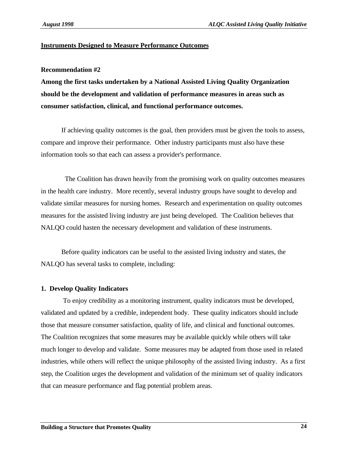#### **Instruments Designed to Measure Performance Outcomes**

#### **Recommendation #2**

**Among the first tasks undertaken by a National Assisted Living Quality Organization should be the development and validation of performance measures in areas such as consumer satisfaction, clinical, and functional performance outcomes.**

If achieving quality outcomes is the goal, then providers must be given the tools to assess, compare and improve their performance. Other industry participants must also have these information tools so that each can assess a provider's performance.

 The Coalition has drawn heavily from the promising work on quality outcomes measures in the health care industry. More recently, several industry groups have sought to develop and validate similar measures for nursing homes. Research and experimentation on quality outcomes measures for the assisted living industry are just being developed. The Coalition believes that NALQO could hasten the necessary development and validation of these instruments.

Before quality indicators can be useful to the assisted living industry and states, the NALQO has several tasks to complete, including:

#### **1. Develop Quality Indicators**

 To enjoy credibility as a monitoring instrument, quality indicators must be developed, validated and updated by a credible, independent body. These quality indicators should include those that measure consumer satisfaction, quality of life, and clinical and functional outcomes. The Coalition recognizes that some measures may be available quickly while others will take much longer to develop and validate. Some measures may be adapted from those used in related industries, while others will reflect the unique philosophy of the assisted living industry. As a first step, the Coalition urges the development and validation of the minimum set of quality indicators that can measure performance and flag potential problem areas.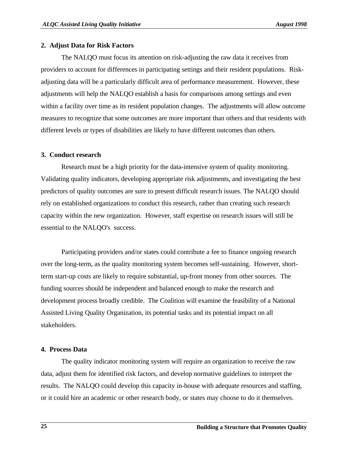#### **2. Adjust Data for Risk Factors**

The NALQO must focus its attention on risk-adjusting the raw data it receives from providers to account for differences in participating settings and their resident populations. Riskadjusting data will be a particularly difficult area of performance measurement. However, these adjustments will help the NALQO establish a basis for comparisons among settings and even within a facility over time as its resident population changes. The adjustments will allow outcome measures to recognize that some outcomes are more important than others and that residents with different levels or types of disabilities are likely to have different outcomes than others.

## **3. Conduct research**

Research must be a high priority for the data-intensive system of quality monitoring. Validating quality indicators, developing appropriate risk adjustments, and investigating the best predictors of quality outcomes are sure to present difficult research issues. The NALQO should rely on established organizations to conduct this research, rather than creating such research capacity within the new organization. However, staff expertise on research issues will still be essential to the NALQO's success.

Participating providers and/or states could contribute a fee to finance ongoing research over the long-term, as the quality monitoring system becomes self-sustaining. However, shortterm start-up costs are likely to require substantial, up-front money from other sources. The funding sources should be independent and balanced enough to make the research and development process broadly credible. The Coalition will examine the feasibility of a National Assisted Living Quality Organization, its potential tasks and its potential impact on all stakeholders.

## **4. Process Data**

The quality indicator monitoring system will require an organization to receive the raw data, adjust them for identified risk factors, and develop normative guidelines to interpret the results. The NALQO could develop this capacity in-house with adequate resources and staffing, or it could hire an academic or other research body, or states may choose to do it themselves.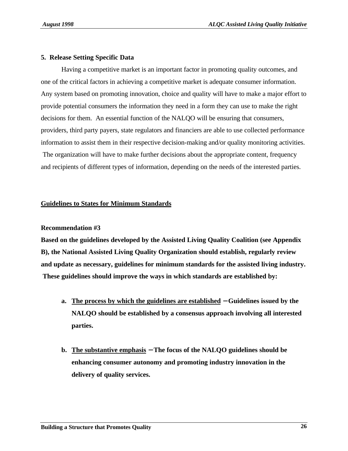## **5. Release Setting Specific Data**

Having a competitive market is an important factor in promoting quality outcomes, and one of the critical factors in achieving a competitive market is adequate consumer information. Any system based on promoting innovation, choice and quality will have to make a major effort to provide potential consumers the information they need in a form they can use to make the right decisions for them. An essential function of the NALQO will be ensuring that consumers, providers, third party payers, state regulators and financiers are able to use collected performance information to assist them in their respective decision-making and/or quality monitoring activities. The organization will have to make further decisions about the appropriate content, frequency and recipients of different types of information, depending on the needs of the interested parties.

## **Guidelines to States for Minimum Standards**

## **Recommendation #3**

**Based on the guidelines developed by the Assisted Living Quality Coalition (see Appendix B), the National Assisted Living Quality Organization should establish, regularly review and update as necessary, guidelines for minimum standards for the assisted living industry. These guidelines should improve the ways in which standards are established by:**

- **a. The process by which the guidelines are established** − **Guidelines issued by the NALQO should be established by a consensus approach involving all interested parties.**
- **b. The substantive emphasis** − **The focus of the NALQO guidelines should be enhancing consumer autonomy and promoting industry innovation in the delivery of quality services.**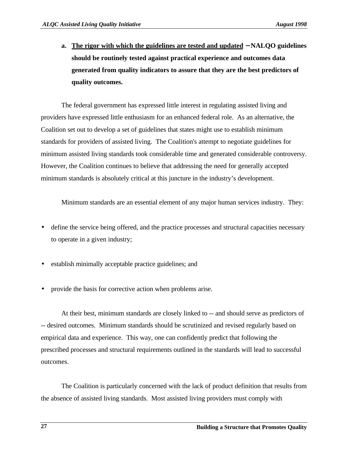**a. The rigor with which the guidelines are tested and updated** − **NALQO guidelines should be routinely tested against practical experience and outcomes data generated from quality indicators to assure that they are the best predictors of quality outcomes.**

The federal government has expressed little interest in regulating assisted living and providers have expressed little enthusiasm for an enhanced federal role. As an alternative, the Coalition set out to develop a set of guidelines that states might use to establish minimum standards for providers of assisted living. The Coalition's attempt to negotiate guidelines for minimum assisted living standards took considerable time and generated considerable controversy. However, the Coalition continues to believe that addressing the need for generally accepted minimum standards is absolutely critical at this juncture in the industry's development.

Minimum standards are an essential element of any major human services industry. They:

- define the service being offered, and the practice processes and structural capacities necessary to operate in a given industry;
- establish minimally acceptable practice guidelines; and
- provide the basis for corrective action when problems arise.

At their best, minimum standards are closely linked to -- and should serve as predictors of -- desired outcomes. Minimum standards should be scrutinized and revised regularly based on empirical data and experience. This way, one can confidently predict that following the prescribed processes and structural requirements outlined in the standards will lead to successful outcomes.

The Coalition is particularly concerned with the lack of product definition that results from the absence of assisted living standards. Most assisted living providers must comply with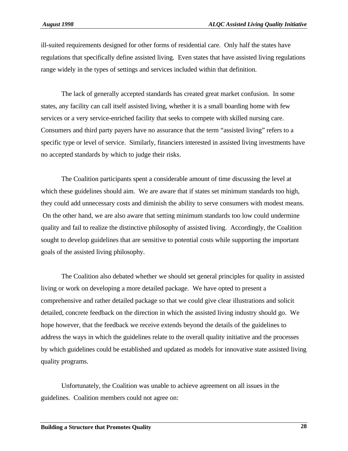ill-suited requirements designed for other forms of residential care. Only half the states have regulations that specifically define assisted living. Even states that have assisted living regulations range widely in the types of settings and services included within that definition.

The lack of generally accepted standards has created great market confusion. In some states, any facility can call itself assisted living, whether it is a small boarding home with few services or a very service-enriched facility that seeks to compete with skilled nursing care. Consumers and third party payers have no assurance that the term "assisted living" refers to a specific type or level of service. Similarly, financiers interested in assisted living investments have no accepted standards by which to judge their risks.

The Coalition participants spent a considerable amount of time discussing the level at which these guidelines should aim. We are aware that if states set minimum standards too high, they could add unnecessary costs and diminish the ability to serve consumers with modest means. On the other hand, we are also aware that setting minimum standards too low could undermine quality and fail to realize the distinctive philosophy of assisted living. Accordingly, the Coalition sought to develop guidelines that are sensitive to potential costs while supporting the important goals of the assisted living philosophy.

The Coalition also debated whether we should set general principles for quality in assisted living or work on developing a more detailed package. We have opted to present a comprehensive and rather detailed package so that we could give clear illustrations and solicit detailed, concrete feedback on the direction in which the assisted living industry should go. We hope however, that the feedback we receive extends beyond the details of the guidelines to address the ways in which the guidelines relate to the overall quality initiative and the processes by which guidelines could be established and updated as models for innovative state assisted living quality programs.

Unfortunately, the Coalition was unable to achieve agreement on all issues in the guidelines. Coalition members could not agree on: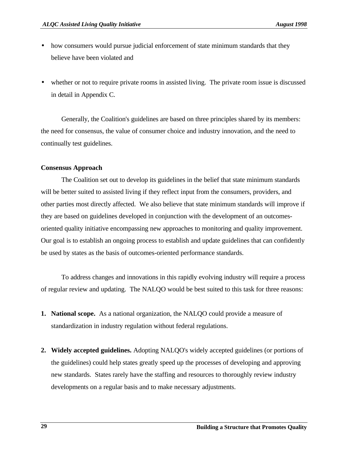- how consumers would pursue judicial enforcement of state minimum standards that they believe have been violated and
- whether or not to require private rooms in assisted living. The private room issue is discussed in detail in Appendix C.

Generally, the Coalition's guidelines are based on three principles shared by its members: the need for consensus, the value of consumer choice and industry innovation, and the need to continually test guidelines.

## **Consensus Approach**

The Coalition set out to develop its guidelines in the belief that state minimum standards will be better suited to assisted living if they reflect input from the consumers, providers, and other parties most directly affected. We also believe that state minimum standards will improve if they are based on guidelines developed in conjunction with the development of an outcomesoriented quality initiative encompassing new approaches to monitoring and quality improvement. Our goal is to establish an ongoing process to establish and update guidelines that can confidently be used by states as the basis of outcomes-oriented performance standards.

To address changes and innovations in this rapidly evolving industry will require a process of regular review and updating. The NALQO would be best suited to this task for three reasons:

- **1. National scope.** As a national organization, the NALQO could provide a measure of standardization in industry regulation without federal regulations.
- **2. Widely accepted guidelines.** Adopting NALQO's widely accepted guidelines (or portions of the guidelines) could help states greatly speed up the processes of developing and approving new standards. States rarely have the staffing and resources to thoroughly review industry developments on a regular basis and to make necessary adjustments.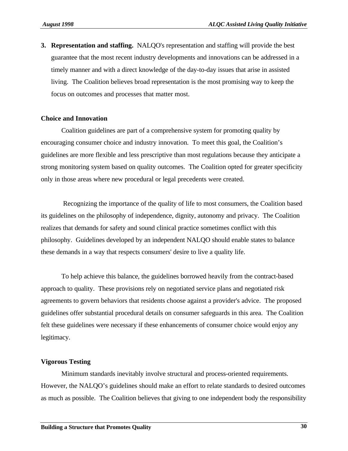**3. Representation and staffing.** NALQO's representation and staffing will provide the best guarantee that the most recent industry developments and innovations can be addressed in a timely manner and with a direct knowledge of the day-to-day issues that arise in assisted living. The Coalition believes broad representation is the most promising way to keep the focus on outcomes and processes that matter most.

#### **Choice and Innovation**

Coalition guidelines are part of a comprehensive system for promoting quality by encouraging consumer choice and industry innovation. To meet this goal, the Coalition's guidelines are more flexible and less prescriptive than most regulations because they anticipate a strong monitoring system based on quality outcomes. The Coalition opted for greater specificity only in those areas where new procedural or legal precedents were created.

 Recognizing the importance of the quality of life to most consumers, the Coalition based its guidelines on the philosophy of independence, dignity, autonomy and privacy. The Coalition realizes that demands for safety and sound clinical practice sometimes conflict with this philosophy. Guidelines developed by an independent NALQO should enable states to balance these demands in a way that respects consumers' desire to live a quality life.

To help achieve this balance, the guidelines borrowed heavily from the contract-based approach to quality. These provisions rely on negotiated service plans and negotiated risk agreements to govern behaviors that residents choose against a provider's advice. The proposed guidelines offer substantial procedural details on consumer safeguards in this area. The Coalition felt these guidelines were necessary if these enhancements of consumer choice would enjoy any legitimacy.

#### **Vigorous Testing**

Minimum standards inevitably involve structural and process-oriented requirements. However, the NALQO's guidelines should make an effort to relate standards to desired outcomes as much as possible. The Coalition believes that giving to one independent body the responsibility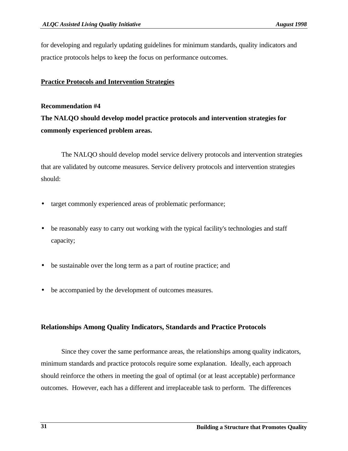for developing and regularly updating guidelines for minimum standards, quality indicators and practice protocols helps to keep the focus on performance outcomes.

## **Practice Protocols and Intervention Strategies**

#### **Recommendation #4**

**The NALQO should develop model practice protocols and intervention strategies for commonly experienced problem areas.**

The NALQO should develop model service delivery protocols and intervention strategies that are validated by outcome measures. Service delivery protocols and intervention strategies should:

- target commonly experienced areas of problematic performance;
- be reasonably easy to carry out working with the typical facility's technologies and staff capacity;
- be sustainable over the long term as a part of routine practice; and
- be accompanied by the development of outcomes measures.

## **Relationships Among Quality Indicators, Standards and Practice Protocols**

Since they cover the same performance areas, the relationships among quality indicators, minimum standards and practice protocols require some explanation. Ideally, each approach should reinforce the others in meeting the goal of optimal (or at least acceptable) performance outcomes. However, each has a different and irreplaceable task to perform. The differences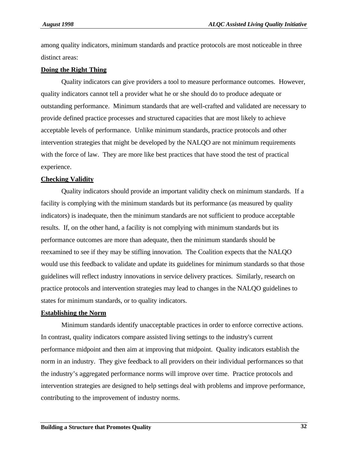among quality indicators, minimum standards and practice protocols are most noticeable in three distinct areas:

#### **Doing the Right Thing**

Quality indicators can give providers a tool to measure performance outcomes. However, quality indicators cannot tell a provider what he or she should do to produce adequate or outstanding performance. Minimum standards that are well-crafted and validated are necessary to provide defined practice processes and structured capacities that are most likely to achieve acceptable levels of performance. Unlike minimum standards, practice protocols and other intervention strategies that might be developed by the NALQO are not minimum requirements with the force of law. They are more like best practices that have stood the test of practical experience.

#### **Checking Validity**

Quality indicators should provide an important validity check on minimum standards. If a facility is complying with the minimum standards but its performance (as measured by quality indicators) is inadequate, then the minimum standards are not sufficient to produce acceptable results. If, on the other hand, a facility is not complying with minimum standards but its performance outcomes are more than adequate, then the minimum standards should be reexamined to see if they may be stifling innovation. The Coalition expects that the NALQO would use this feedback to validate and update its guidelines for minimum standards so that those guidelines will reflect industry innovations in service delivery practices. Similarly, research on practice protocols and intervention strategies may lead to changes in the NALQO guidelines to states for minimum standards, or to quality indicators.

#### **Establishing the Norm**

Minimum standards identify unacceptable practices in order to enforce corrective actions. In contrast, quality indicators compare assisted living settings to the industry's current performance midpoint and then aim at improving that midpoint. Quality indicators establish the norm in an industry. They give feedback to all providers on their individual performances so that the industry's aggregated performance norms will improve over time. Practice protocols and intervention strategies are designed to help settings deal with problems and improve performance, contributing to the improvement of industry norms.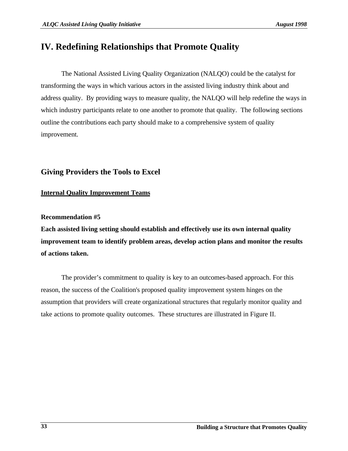## **IV. Redefining Relationships that Promote Quality**

The National Assisted Living Quality Organization (NALQO) could be the catalyst for transforming the ways in which various actors in the assisted living industry think about and address quality. By providing ways to measure quality, the NALQO will help redefine the ways in which industry participants relate to one another to promote that quality. The following sections outline the contributions each party should make to a comprehensive system of quality improvement.

## **Giving Providers the Tools to Excel**

## **Internal Quality Improvement Teams**

## **Recommendation #5**

**Each assisted living setting should establish and effectively use its own internal quality improvement team to identify problem areas, develop action plans and monitor the results of actions taken.**

The provider's commitment to quality is key to an outcomes-based approach. For this reason, the success of the Coalition's proposed quality improvement system hinges on the assumption that providers will create organizational structures that regularly monitor quality and take actions to promote quality outcomes. These structures are illustrated in Figure II.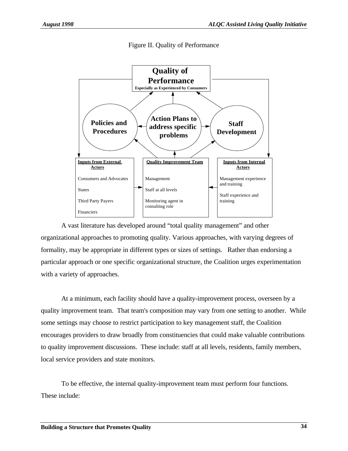

Figure II. Quality of Performance

A vast literature has developed around "total quality management" and other organizational approaches to promoting quality. Various approaches, with varying degrees of formality, may be appropriate in different types or sizes of settings. Rather than endorsing a particular approach or one specific organizational structure, the Coalition urges experimentation with a variety of approaches.

At a minimum, each facility should have a quality-improvement process, overseen by a quality improvement team. That team's composition may vary from one setting to another. While some settings may choose to restrict participation to key management staff, the Coalition encourages providers to draw broadly from constituencies that could make valuable contributions to quality improvement discussions. These include: staff at all levels, residents, family members, local service providers and state monitors.

To be effective, the internal quality-improvement team must perform four functions. These include: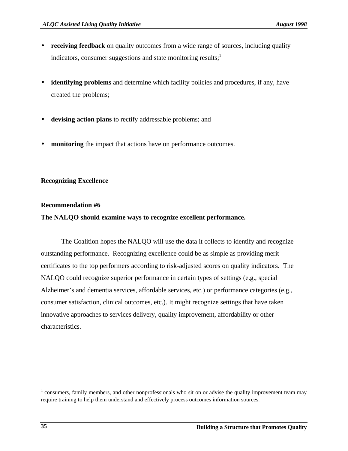- **receiving feedback** on quality outcomes from a wide range of sources, including quality indicators, consumer suggestions and state monitoring results; $<sup>1</sup>$ </sup>
- **identifying problems** and determine which facility policies and procedures, if any, have created the problems;
- **devising action plans** to rectify addressable problems; and
- **monitoring** the impact that actions have on performance outcomes.

## **Recognizing Excellence**

#### **Recommendation #6**

## **The NALQO should examine ways to recognize excellent performance.**

The Coalition hopes the NALQO will use the data it collects to identify and recognize outstanding performance. Recognizing excellence could be as simple as providing merit certificates to the top performers according to risk-adjusted scores on quality indicators. The NALQO could recognize superior performance in certain types of settings (e.g., special Alzheimer's and dementia services, affordable services, etc.) or performance categories (e.g., consumer satisfaction, clinical outcomes, etc.). It might recognize settings that have taken innovative approaches to services delivery, quality improvement, affordability or other characteristics.

 $1$  consumers, family members, and other nonprofessionals who sit on or advise the quality improvement team may require training to help them understand and effectively process outcomes information sources.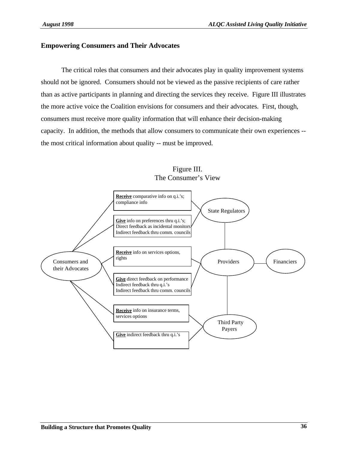## **Empowering Consumers and Their Advocates**

The critical roles that consumers and their advocates play in quality improvement systems should not be ignored. Consumers should not be viewed as the passive recipients of care rather than as active participants in planning and directing the services they receive. Figure III illustrates the more active voice the Coalition envisions for consumers and their advocates. First, though, consumers must receive more quality information that will enhance their decision-making capacity. In addition, the methods that allow consumers to communicate their own experiences - the most critical information about quality -- must be improved.



## Figure III. The Consumer's View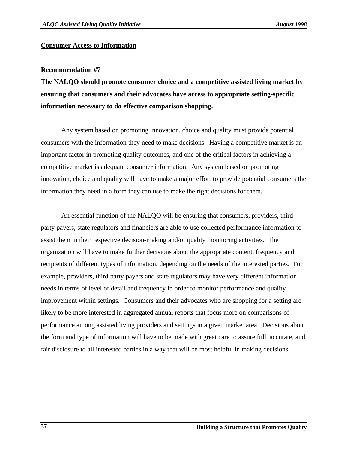#### **Consumer Access to Information**

#### **Recommendation #7**

**The NALQO should promote consumer choice and a competitive assisted living market by ensuring that consumers and their advocates have access to appropriate setting-specific information necessary to do effective comparison shopping.**

Any system based on promoting innovation, choice and quality must provide potential consumers with the information they need to make decisions. Having a competitive market is an important factor in promoting quality outcomes, and one of the critical factors in achieving a competitive market is adequate consumer information. Any system based on promoting innovation, choice and quality will have to make a major effort to provide potential consumers the information they need in a form they can use to make the right decisions for them.

An essential function of the NALQO will be ensuring that consumers, providers, third party payers, state regulators and financiers are able to use collected performance information to assist them in their respective decision-making and/or quality monitoring activities. The organization will have to make further decisions about the appropriate content, frequency and recipients of different types of information, depending on the needs of the interested parties. For example, providers, third party payers and state regulators may have very different information needs in terms of level of detail and frequency in order to monitor performance and quality improvement within settings. Consumers and their advocates who are shopping for a setting are likely to be more interested in aggregated annual reports that focus more on comparisons of performance among assisted living providers and settings in a given market area. Decisions about the form and type of information will have to be made with great care to assure full, accurate, and fair disclosure to all interested parties in a way that will be most helpful in making decisions.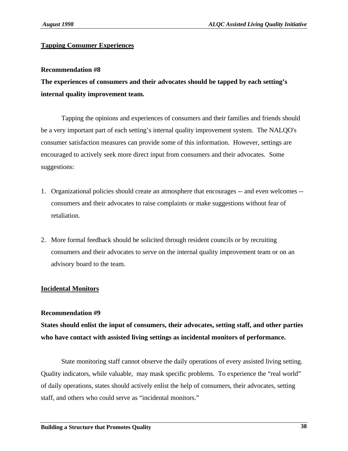## **Tapping Consumer Experiences**

#### **Recommendation #8**

**The experiences of consumers and their advocates should be tapped by each setting's internal quality improvement team.**

Tapping the opinions and experiences of consumers and their families and friends should be a very important part of each setting's internal quality improvement system. The NALQO's consumer satisfaction measures can provide some of this information. However, settings are encouraged to actively seek more direct input from consumers and their advocates. Some suggestions:

- 1. Organizational policies should create an atmosphere that encourages -- and even welcomes consumers and their advocates to raise complaints or make suggestions without fear of retaliation.
- 2. More formal feedback should be solicited through resident councils or by recruiting consumers and their advocates to serve on the internal quality improvement team or on an advisory board to the team.

## **Incidental Monitors**

#### **Recommendation #9**

**States should enlist the input of consumers, their advocates, setting staff, and other parties who have contact with assisted living settings as incidental monitors of performance.**

State monitoring staff cannot observe the daily operations of every assisted living setting. Quality indicators, while valuable, may mask specific problems. To experience the "real world" of daily operations, states should actively enlist the help of consumers, their advocates, setting staff, and others who could serve as "incidental monitors."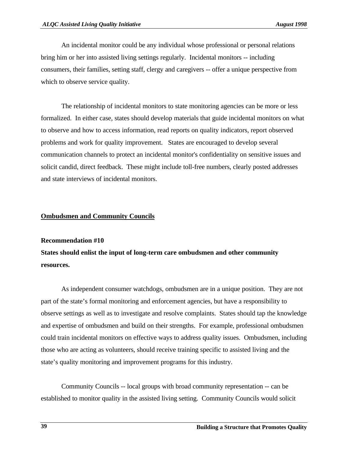An incidental monitor could be any individual whose professional or personal relations bring him or her into assisted living settings regularly. Incidental monitors -- including consumers, their families, setting staff, clergy and caregivers -- offer a unique perspective from which to observe service quality.

The relationship of incidental monitors to state monitoring agencies can be more or less formalized. In either case, states should develop materials that guide incidental monitors on what to observe and how to access information, read reports on quality indicators, report observed problems and work for quality improvement. States are encouraged to develop several communication channels to protect an incidental monitor's confidentiality on sensitive issues and solicit candid, direct feedback. These might include toll-free numbers, clearly posted addresses and state interviews of incidental monitors.

## **Ombudsmen and Community Councils**

#### **Recommendation #10**

**States should enlist the input of long-term care ombudsmen and other community resources.**

As independent consumer watchdogs, ombudsmen are in a unique position. They are not part of the state's formal monitoring and enforcement agencies, but have a responsibility to observe settings as well as to investigate and resolve complaints. States should tap the knowledge and expertise of ombudsmen and build on their strengths. For example, professional ombudsmen could train incidental monitors on effective ways to address quality issues. Ombudsmen, including those who are acting as volunteers, should receive training specific to assisted living and the state's quality monitoring and improvement programs for this industry.

Community Councils -- local groups with broad community representation -- can be established to monitor quality in the assisted living setting. Community Councils would solicit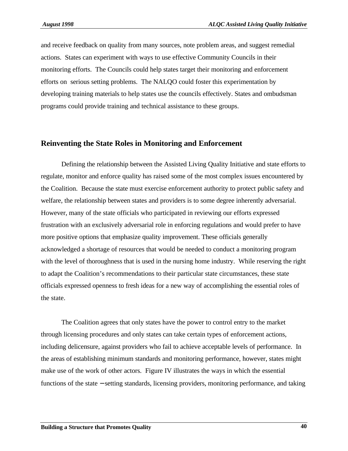and receive feedback on quality from many sources, note problem areas, and suggest remedial actions. States can experiment with ways to use effective Community Councils in their monitoring efforts. The Councils could help states target their monitoring and enforcement efforts on serious setting problems. The NALQO could foster this experimentation by developing training materials to help states use the councils effectively. States and ombudsman programs could provide training and technical assistance to these groups.

## **Reinventing the State Roles in Monitoring and Enforcement**

Defining the relationship between the Assisted Living Quality Initiative and state efforts to regulate, monitor and enforce quality has raised some of the most complex issues encountered by the Coalition. Because the state must exercise enforcement authority to protect public safety and welfare, the relationship between states and providers is to some degree inherently adversarial. However, many of the state officials who participated in reviewing our efforts expressed frustration with an exclusively adversarial role in enforcing regulations and would prefer to have more positive options that emphasize quality improvement. These officials generally acknowledged a shortage of resources that would be needed to conduct a monitoring program with the level of thoroughness that is used in the nursing home industry. While reserving the right to adapt the Coalition's recommendations to their particular state circumstances, these state officials expressed openness to fresh ideas for a new way of accomplishing the essential roles of the state.

The Coalition agrees that only states have the power to control entry to the market through licensing procedures and only states can take certain types of enforcement actions, including delicensure, against providers who fail to achieve acceptable levels of performance. In the areas of establishing minimum standards and monitoring performance, however, states might make use of the work of other actors. Figure IV illustrates the ways in which the essential functions of the state − setting standards, licensing providers, monitoring performance, and taking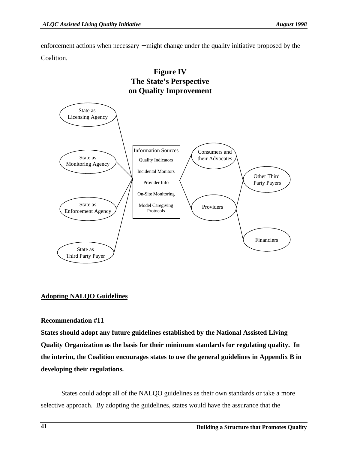enforcement actions when necessary – might change under the quality initiative proposed by the Coalition.



# **Figure IV The State's Perspective**

## **Adopting NALQO Guidelines**

## **Recommendation #11**

**States should adopt any future guidelines established by the National Assisted Living Quality Organization as the basis for their minimum standards for regulating quality. In the interim, the Coalition encourages states to use the general guidelines in Appendix B in developing their regulations.**

States could adopt all of the NALQO guidelines as their own standards or take a more selective approach. By adopting the guidelines, states would have the assurance that the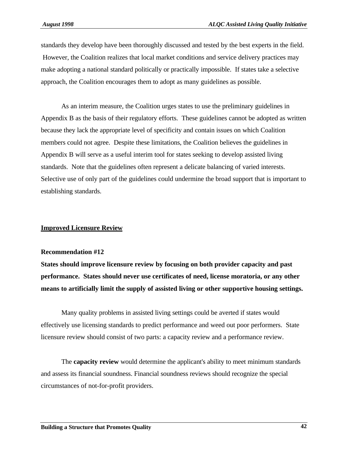standards they develop have been thoroughly discussed and tested by the best experts in the field. However, the Coalition realizes that local market conditions and service delivery practices may make adopting a national standard politically or practically impossible. If states take a selective approach, the Coalition encourages them to adopt as many guidelines as possible.

As an interim measure, the Coalition urges states to use the preliminary guidelines in Appendix B as the basis of their regulatory efforts. These guidelines cannot be adopted as written because they lack the appropriate level of specificity and contain issues on which Coalition members could not agree. Despite these limitations, the Coalition believes the guidelines in Appendix B will serve as a useful interim tool for states seeking to develop assisted living standards. Note that the guidelines often represent a delicate balancing of varied interests. Selective use of only part of the guidelines could undermine the broad support that is important to establishing standards.

## **Improved Licensure Review**

#### **Recommendation #12**

**States should improve licensure review by focusing on both provider capacity and past performance. States should never use certificates of need, license moratoria, or any other means to artificially limit the supply of assisted living or other supportive housing settings.**

Many quality problems in assisted living settings could be averted if states would effectively use licensing standards to predict performance and weed out poor performers. State licensure review should consist of two parts: a capacity review and a performance review.

The **capacity review** would determine the applicant's ability to meet minimum standards and assess its financial soundness. Financial soundness reviews should recognize the special circumstances of not-for-profit providers.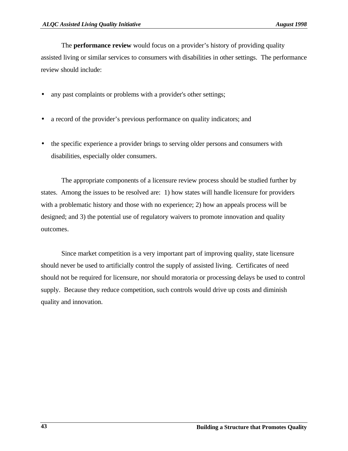The **performance review** would focus on a provider's history of providing quality assisted living or similar services to consumers with disabilities in other settings. The performance review should include:

- any past complaints or problems with a provider's other settings;
- a record of the provider's previous performance on quality indicators; and
- the specific experience a provider brings to serving older persons and consumers with disabilities, especially older consumers.

The appropriate components of a licensure review process should be studied further by states. Among the issues to be resolved are: 1) how states will handle licensure for providers with a problematic history and those with no experience; 2) how an appeals process will be designed; and 3) the potential use of regulatory waivers to promote innovation and quality outcomes.

Since market competition is a very important part of improving quality, state licensure should never be used to artificially control the supply of assisted living. Certificates of need should not be required for licensure, nor should moratoria or processing delays be used to control supply. Because they reduce competition, such controls would drive up costs and diminish quality and innovation.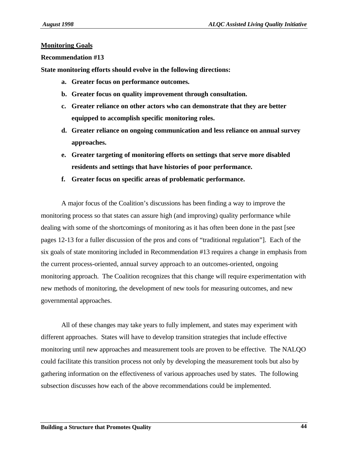#### **Monitoring Goals**

#### **Recommendation #13**

**State monitoring efforts should evolve in the following directions:**

- **a. Greater focus on performance outcomes.**
- **b. Greater focus on quality improvement through consultation.**
- **c. Greater reliance on other actors who can demonstrate that they are better equipped to accomplish specific monitoring roles.**
- **d. Greater reliance on ongoing communication and less reliance on annual survey approaches.**
- **e. Greater targeting of monitoring efforts on settings that serve more disabled residents and settings that have histories of poor performance.**
- **f. Greater focus on specific areas of problematic performance.**

A major focus of the Coalition's discussions has been finding a way to improve the monitoring process so that states can assure high (and improving) quality performance while dealing with some of the shortcomings of monitoring as it has often been done in the past [see pages 12-13 for a fuller discussion of the pros and cons of "traditional regulation"]. Each of the six goals of state monitoring included in Recommendation #13 requires a change in emphasis from the current process-oriented, annual survey approach to an outcomes-oriented, ongoing monitoring approach. The Coalition recognizes that this change will require experimentation with new methods of monitoring, the development of new tools for measuring outcomes, and new governmental approaches.

All of these changes may take years to fully implement, and states may experiment with different approaches. States will have to develop transition strategies that include effective monitoring until new approaches and measurement tools are proven to be effective. The NALQO could facilitate this transition process not only by developing the measurement tools but also by gathering information on the effectiveness of various approaches used by states. The following subsection discusses how each of the above recommendations could be implemented.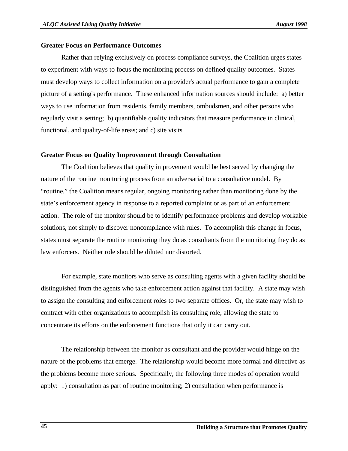#### **Greater Focus on Performance Outcomes**

Rather than relying exclusively on process compliance surveys, the Coalition urges states to experiment with ways to focus the monitoring process on defined quality outcomes. States must develop ways to collect information on a provider's actual performance to gain a complete picture of a setting's performance. These enhanced information sources should include: a) better ways to use information from residents, family members, ombudsmen, and other persons who regularly visit a setting; b) quantifiable quality indicators that measure performance in clinical, functional, and quality-of-life areas; and c) site visits.

#### **Greater Focus on Quality Improvement through Consultation**

The Coalition believes that quality improvement would be best served by changing the nature of the routine monitoring process from an adversarial to a consultative model. By "routine," the Coalition means regular, ongoing monitoring rather than monitoring done by the state's enforcement agency in response to a reported complaint or as part of an enforcement action. The role of the monitor should be to identify performance problems and develop workable solutions, not simply to discover noncompliance with rules. To accomplish this change in focus, states must separate the routine monitoring they do as consultants from the monitoring they do as law enforcers. Neither role should be diluted nor distorted.

For example, state monitors who serve as consulting agents with a given facility should be distinguished from the agents who take enforcement action against that facility. A state may wish to assign the consulting and enforcement roles to two separate offices. Or, the state may wish to contract with other organizations to accomplish its consulting role, allowing the state to concentrate its efforts on the enforcement functions that only it can carry out.

The relationship between the monitor as consultant and the provider would hinge on the nature of the problems that emerge. The relationship would become more formal and directive as the problems become more serious. Specifically, the following three modes of operation would apply: 1) consultation as part of routine monitoring; 2) consultation when performance is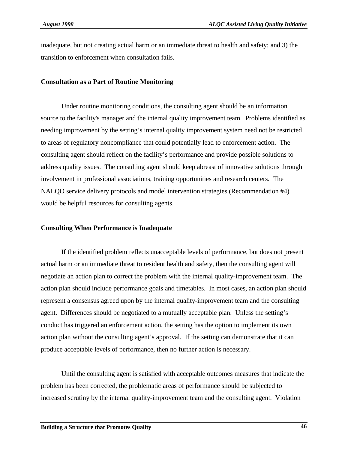inadequate, but not creating actual harm or an immediate threat to health and safety; and 3) the transition to enforcement when consultation fails.

#### **Consultation as a Part of Routine Monitoring**

Under routine monitoring conditions, the consulting agent should be an information source to the facility's manager and the internal quality improvement team. Problems identified as needing improvement by the setting's internal quality improvement system need not be restricted to areas of regulatory noncompliance that could potentially lead to enforcement action. The consulting agent should reflect on the facility's performance and provide possible solutions to address quality issues. The consulting agent should keep abreast of innovative solutions through involvement in professional associations, training opportunities and research centers. The NALQO service delivery protocols and model intervention strategies (Recommendation #4) would be helpful resources for consulting agents.

#### **Consulting When Performance is Inadequate**

If the identified problem reflects unacceptable levels of performance, but does not present actual harm or an immediate threat to resident health and safety, then the consulting agent will negotiate an action plan to correct the problem with the internal quality-improvement team. The action plan should include performance goals and timetables. In most cases, an action plan should represent a consensus agreed upon by the internal quality-improvement team and the consulting agent. Differences should be negotiated to a mutually acceptable plan. Unless the setting's conduct has triggered an enforcement action, the setting has the option to implement its own action plan without the consulting agent's approval. If the setting can demonstrate that it can produce acceptable levels of performance, then no further action is necessary.

Until the consulting agent is satisfied with acceptable outcomes measures that indicate the problem has been corrected, the problematic areas of performance should be subjected to increased scrutiny by the internal quality-improvement team and the consulting agent. Violation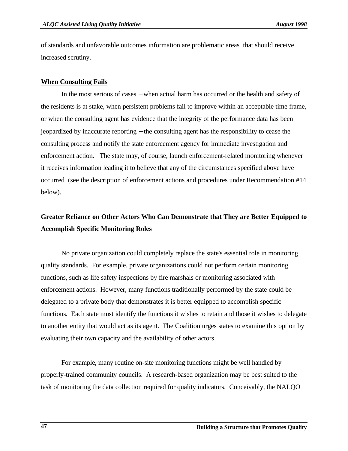of standards and unfavorable outcomes information are problematic areas that should receive increased scrutiny.

#### **When Consulting Fails**

In the most serious of cases − when actual harm has occurred or the health and safety of the residents is at stake, when persistent problems fail to improve within an acceptable time frame, or when the consulting agent has evidence that the integrity of the performance data has been jeopardized by inaccurate reporting − the consulting agent has the responsibility to cease the consulting process and notify the state enforcement agency for immediate investigation and enforcement action. The state may, of course, launch enforcement-related monitoring whenever it receives information leading it to believe that any of the circumstances specified above have occurred (see the description of enforcement actions and procedures under Recommendation #14 below).

## **Greater Reliance on Other Actors Who Can Demonstrate that They are Better Equipped to Accomplish Specific Monitoring Roles**

No private organization could completely replace the state's essential role in monitoring quality standards. For example, private organizations could not perform certain monitoring functions, such as life safety inspections by fire marshals or monitoring associated with enforcement actions. However, many functions traditionally performed by the state could be delegated to a private body that demonstrates it is better equipped to accomplish specific functions. Each state must identify the functions it wishes to retain and those it wishes to delegate to another entity that would act as its agent. The Coalition urges states to examine this option by evaluating their own capacity and the availability of other actors.

For example, many routine on-site monitoring functions might be well handled by properly-trained community councils. A research-based organization may be best suited to the task of monitoring the data collection required for quality indicators. Conceivably, the NALQO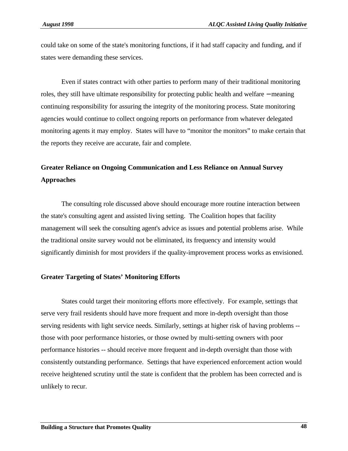could take on some of the state's monitoring functions, if it had staff capacity and funding, and if states were demanding these services.

Even if states contract with other parties to perform many of their traditional monitoring roles, they still have ultimate responsibility for protecting public health and welfare − meaning continuing responsibility for assuring the integrity of the monitoring process. State monitoring agencies would continue to collect ongoing reports on performance from whatever delegated monitoring agents it may employ. States will have to "monitor the monitors" to make certain that the reports they receive are accurate, fair and complete.

## **Greater Reliance on Ongoing Communication and Less Reliance on Annual Survey Approaches**

The consulting role discussed above should encourage more routine interaction between the state's consulting agent and assisted living setting. The Coalition hopes that facility management will seek the consulting agent's advice as issues and potential problems arise. While the traditional onsite survey would not be eliminated, its frequency and intensity would significantly diminish for most providers if the quality-improvement process works as envisioned.

#### **Greater Targeting of States' Monitoring Efforts**

States could target their monitoring efforts more effectively. For example, settings that serve very frail residents should have more frequent and more in-depth oversight than those serving residents with light service needs. Similarly, settings at higher risk of having problems - those with poor performance histories, or those owned by multi-setting owners with poor performance histories -- should receive more frequent and in-depth oversight than those with consistently outstanding performance. Settings that have experienced enforcement action would receive heightened scrutiny until the state is confident that the problem has been corrected and is unlikely to recur.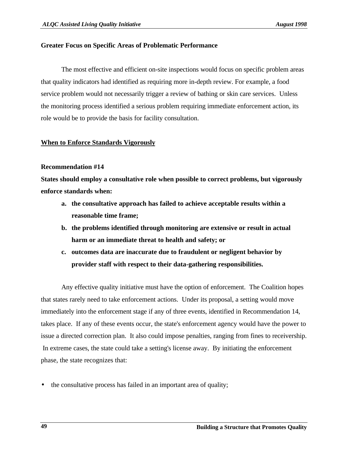## **Greater Focus on Specific Areas of Problematic Performance**

The most effective and efficient on-site inspections would focus on specific problem areas that quality indicators had identified as requiring more in-depth review. For example, a food service problem would not necessarily trigger a review of bathing or skin care services. Unless the monitoring process identified a serious problem requiring immediate enforcement action, its role would be to provide the basis for facility consultation.

## **When to Enforce Standards Vigorously**

## **Recommendation #14**

**States should employ a consultative role when possible to correct problems, but vigorously enforce standards when:**

- **a. the consultative approach has failed to achieve acceptable results within a reasonable time frame;**
- **b. the problems identified through monitoring are extensive or result in actual harm or an immediate threat to health and safety; or**
- **c. outcomes data are inaccurate due to fraudulent or negligent behavior by provider staff with respect to their data-gathering responsibilities.**

Any effective quality initiative must have the option of enforcement. The Coalition hopes that states rarely need to take enforcement actions. Under its proposal, a setting would move immediately into the enforcement stage if any of three events, identified in Recommendation 14, takes place. If any of these events occur, the state's enforcement agency would have the power to issue a directed correction plan. It also could impose penalties, ranging from fines to receivership. In extreme cases, the state could take a setting's license away. By initiating the enforcement phase, the state recognizes that:

• the consultative process has failed in an important area of quality;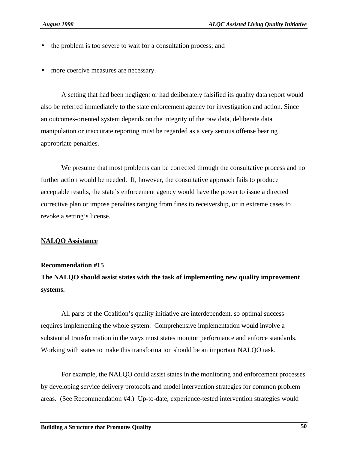- the problem is too severe to wait for a consultation process; and
- more coercive measures are necessary.

A setting that had been negligent or had deliberately falsified its quality data report would also be referred immediately to the state enforcement agency for investigation and action. Since an outcomes-oriented system depends on the integrity of the raw data, deliberate data manipulation or inaccurate reporting must be regarded as a very serious offense bearing appropriate penalties.

We presume that most problems can be corrected through the consultative process and no further action would be needed. If, however, the consultative approach fails to produce acceptable results, the state's enforcement agency would have the power to issue a directed corrective plan or impose penalties ranging from fines to receivership, or in extreme cases to revoke a setting's license.

#### **NALQO Assistance**

#### **Recommendation #15**

**The NALQO should assist states with the task of implementing new quality improvement systems.**

All parts of the Coalition's quality initiative are interdependent, so optimal success requires implementing the whole system. Comprehensive implementation would involve a substantial transformation in the ways most states monitor performance and enforce standards. Working with states to make this transformation should be an important NALQO task.

For example, the NALQO could assist states in the monitoring and enforcement processes by developing service delivery protocols and model intervention strategies for common problem areas. (See Recommendation #4.) Up-to-date, experience-tested intervention strategies would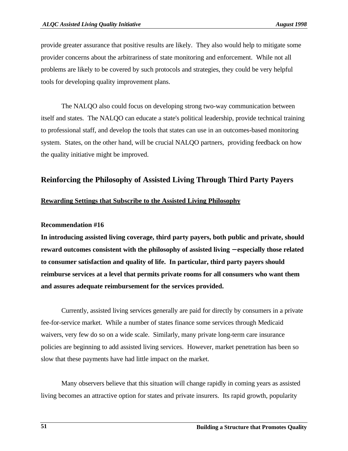provide greater assurance that positive results are likely. They also would help to mitigate some provider concerns about the arbitrariness of state monitoring and enforcement. While not all problems are likely to be covered by such protocols and strategies, they could be very helpful tools for developing quality improvement plans.

The NALQO also could focus on developing strong two-way communication between itself and states. The NALQO can educate a state's political leadership, provide technical training to professional staff, and develop the tools that states can use in an outcomes-based monitoring system. States, on the other hand, will be crucial NALQO partners, providing feedback on how the quality initiative might be improved.

## **Reinforcing the Philosophy of Assisted Living Through Third Party Payers**

## **Rewarding Settings that Subscribe to the Assisted Living Philosophy**

#### **Recommendation #16**

**In introducing assisted living coverage, third party payers, both public and private, should reward outcomes consistent with the philosophy of assisted living** − **especially those related to consumer satisfaction and quality of life. In particular, third party payers should reimburse services at a level that permits private rooms for all consumers who want them and assures adequate reimbursement for the services provided.**

Currently, assisted living services generally are paid for directly by consumers in a private fee-for-service market. While a number of states finance some services through Medicaid waivers, very few do so on a wide scale. Similarly, many private long-term care insurance policies are beginning to add assisted living services. However, market penetration has been so slow that these payments have had little impact on the market.

Many observers believe that this situation will change rapidly in coming years as assisted living becomes an attractive option for states and private insurers. Its rapid growth, popularity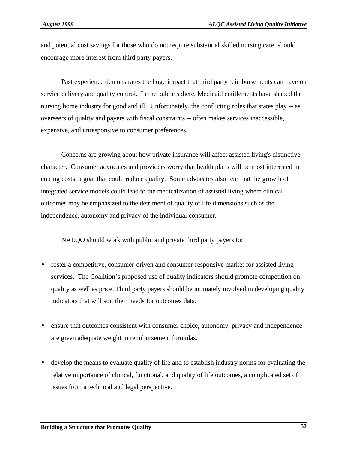and potential cost savings for those who do not require substantial skilled nursing care, should encourage more interest from third party payers.

Past experience demonstrates the huge impact that third party reimbursements can have on service delivery and quality control. In the public sphere, Medicaid entitlements have shaped the nursing home industry for good and ill. Unfortunately, the conflicting roles that states play -- as overseers of quality and payers with fiscal constraints -- often makes services inaccessible, expensive, and unresponsive to consumer preferences.

Concerns are growing about how private insurance will affect assisted living's distinctive character. Consumer advocates and providers worry that health plans will be most interested in cutting costs, a goal that could reduce quality. Some advocates also fear that the growth of integrated service models could lead to the medicalization of assisted living where clinical outcomes may be emphasized to the detriment of quality of life dimensions such as the independence, autonomy and privacy of the individual consumer.

NALQO should work with public and private third party payers to:

- foster a competitive, consumer-driven and consumer-responsive market for assisted living services. The Coalition's proposed use of quality indicators should promote competition on quality as well as price. Third party payers should be intimately involved in developing quality indicators that will suit their needs for outcomes data.
- ensure that outcomes consistent with consumer choice, autonomy, privacy and independence are given adequate weight in reimbursement formulas.
- develop the means to evaluate quality of life and to establish industry norms for evaluating the relative importance of clinical, functional, and quality of life outcomes, a complicated set of issues from a technical and legal perspective.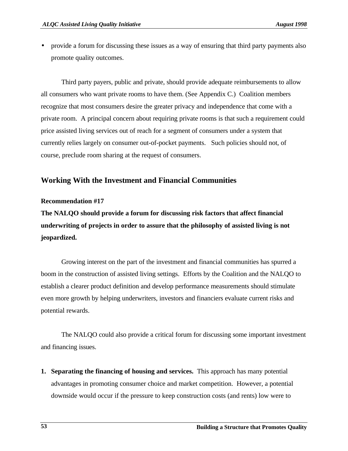• provide a forum for discussing these issues as a way of ensuring that third party payments also promote quality outcomes.

Third party payers, public and private, should provide adequate reimbursements to allow all consumers who want private rooms to have them. (See Appendix C.) Coalition members recognize that most consumers desire the greater privacy and independence that come with a private room. A principal concern about requiring private rooms is that such a requirement could price assisted living services out of reach for a segment of consumers under a system that currently relies largely on consumer out-of-pocket payments. Such policies should not, of course, preclude room sharing at the request of consumers.

## **Working With the Investment and Financial Communities**

#### **Recommendation #17**

**The NALQO should provide a forum for discussing risk factors that affect financial underwriting of projects in order to assure that the philosophy of assisted living is not jeopardized.**

Growing interest on the part of the investment and financial communities has spurred a boom in the construction of assisted living settings. Efforts by the Coalition and the NALQO to establish a clearer product definition and develop performance measurements should stimulate even more growth by helping underwriters, investors and financiers evaluate current risks and potential rewards.

The NALQO could also provide a critical forum for discussing some important investment and financing issues.

**1. Separating the financing of housing and services.** This approach has many potential advantages in promoting consumer choice and market competition. However, a potential downside would occur if the pressure to keep construction costs (and rents) low were to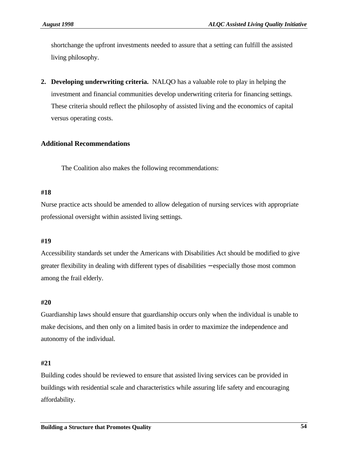shortchange the upfront investments needed to assure that a setting can fulfill the assisted living philosophy.

**2. Developing underwriting criteria.** NALQO has a valuable role to play in helping the investment and financial communities develop underwriting criteria for financing settings. These criteria should reflect the philosophy of assisted living and the economics of capital versus operating costs.

## **Additional Recommendations**

The Coalition also makes the following recommendations:

#### **#18**

Nurse practice acts should be amended to allow delegation of nursing services with appropriate professional oversight within assisted living settings.

## **#19**

Accessibility standards set under the Americans with Disabilities Act should be modified to give greater flexibility in dealing with different types of disabilities – especially those most common among the frail elderly.

## **#20**

Guardianship laws should ensure that guardianship occurs only when the individual is unable to make decisions, and then only on a limited basis in order to maximize the independence and autonomy of the individual.

## **#21**

Building codes should be reviewed to ensure that assisted living services can be provided in buildings with residential scale and characteristics while assuring life safety and encouraging affordability.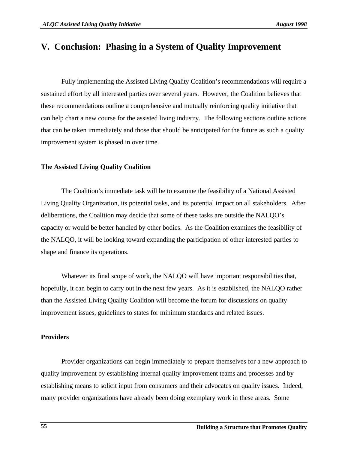## **V. Conclusion: Phasing in a System of Quality Improvement**

Fully implementing the Assisted Living Quality Coalition's recommendations will require a sustained effort by all interested parties over several years. However, the Coalition believes that these recommendations outline a comprehensive and mutually reinforcing quality initiative that can help chart a new course for the assisted living industry. The following sections outline actions that can be taken immediately and those that should be anticipated for the future as such a quality improvement system is phased in over time.

#### **The Assisted Living Quality Coalition**

The Coalition's immediate task will be to examine the feasibility of a National Assisted Living Quality Organization, its potential tasks, and its potential impact on all stakeholders. After deliberations, the Coalition may decide that some of these tasks are outside the NALQO's capacity or would be better handled by other bodies. As the Coalition examines the feasibility of the NALQO, it will be looking toward expanding the participation of other interested parties to shape and finance its operations.

Whatever its final scope of work, the NALQO will have important responsibilities that, hopefully, it can begin to carry out in the next few years. As it is established, the NALQO rather than the Assisted Living Quality Coalition will become the forum for discussions on quality improvement issues, guidelines to states for minimum standards and related issues.

#### **Providers**

Provider organizations can begin immediately to prepare themselves for a new approach to quality improvement by establishing internal quality improvement teams and processes and by establishing means to solicit input from consumers and their advocates on quality issues. Indeed, many provider organizations have already been doing exemplary work in these areas. Some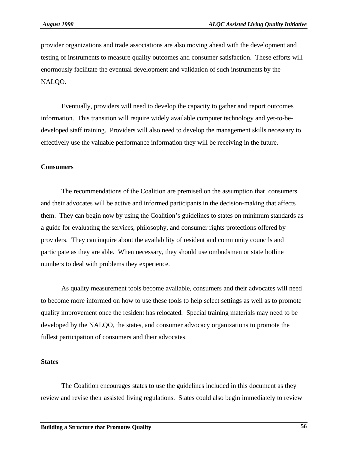provider organizations and trade associations are also moving ahead with the development and testing of instruments to measure quality outcomes and consumer satisfaction. These efforts will enormously facilitate the eventual development and validation of such instruments by the NALQO.

Eventually, providers will need to develop the capacity to gather and report outcomes information. This transition will require widely available computer technology and yet-to-bedeveloped staff training. Providers will also need to develop the management skills necessary to effectively use the valuable performance information they will be receiving in the future.

#### **Consumers**

The recommendations of the Coalition are premised on the assumption that consumers and their advocates will be active and informed participants in the decision-making that affects them. They can begin now by using the Coalition's guidelines to states on minimum standards as a guide for evaluating the services, philosophy, and consumer rights protections offered by providers. They can inquire about the availability of resident and community councils and participate as they are able. When necessary, they should use ombudsmen or state hotline numbers to deal with problems they experience.

As quality measurement tools become available, consumers and their advocates will need to become more informed on how to use these tools to help select settings as well as to promote quality improvement once the resident has relocated. Special training materials may need to be developed by the NALQO, the states, and consumer advocacy organizations to promote the fullest participation of consumers and their advocates.

#### **States**

The Coalition encourages states to use the guidelines included in this document as they review and revise their assisted living regulations. States could also begin immediately to review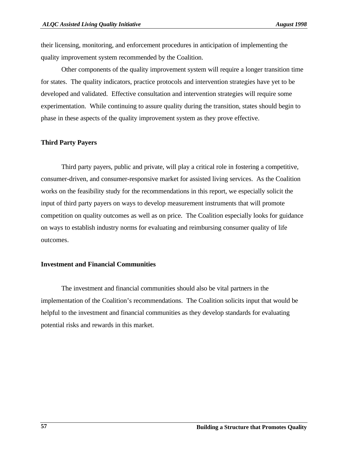their licensing, monitoring, and enforcement procedures in anticipation of implementing the quality improvement system recommended by the Coalition.

Other components of the quality improvement system will require a longer transition time for states. The quality indicators, practice protocols and intervention strategies have yet to be developed and validated. Effective consultation and intervention strategies will require some experimentation. While continuing to assure quality during the transition, states should begin to phase in these aspects of the quality improvement system as they prove effective.

## **Third Party Payers**

Third party payers, public and private, will play a critical role in fostering a competitive, consumer-driven, and consumer-responsive market for assisted living services. As the Coalition works on the feasibility study for the recommendations in this report, we especially solicit the input of third party payers on ways to develop measurement instruments that will promote competition on quality outcomes as well as on price. The Coalition especially looks for guidance on ways to establish industry norms for evaluating and reimbursing consumer quality of life outcomes.

## **Investment and Financial Communities**

The investment and financial communities should also be vital partners in the implementation of the Coalition's recommendations. The Coalition solicits input that would be helpful to the investment and financial communities as they develop standards for evaluating potential risks and rewards in this market.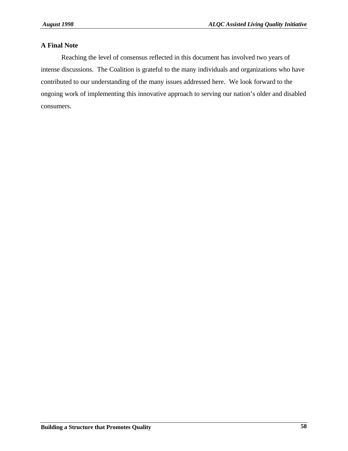## **A Final Note**

Reaching the level of consensus reflected in this document has involved two years of intense discussions. The Coalition is grateful to the many individuals and organizations who have contributed to our understanding of the many issues addressed here. We look forward to the ongoing work of implementing this innovative approach to serving our nation's older and disabled consumers.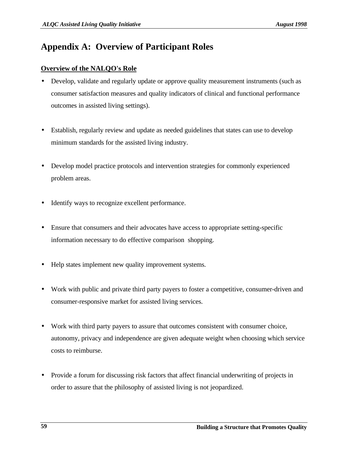## **Appendix A: Overview of Participant Roles**

## **Overview of the NALQO's Role**

- Develop, validate and regularly update or approve quality measurement instruments (such as consumer satisfaction measures and quality indicators of clinical and functional performance outcomes in assisted living settings).
- Establish, regularly review and update as needed guidelines that states can use to develop minimum standards for the assisted living industry.
- Develop model practice protocols and intervention strategies for commonly experienced problem areas.
- Identify ways to recognize excellent performance.
- Ensure that consumers and their advocates have access to appropriate setting-specific information necessary to do effective comparison shopping.
- Help states implement new quality improvement systems.
- Work with public and private third party payers to foster a competitive, consumer-driven and consumer-responsive market for assisted living services.
- Work with third party payers to assure that outcomes consistent with consumer choice, autonomy, privacy and independence are given adequate weight when choosing which service costs to reimburse.
- Provide a forum for discussing risk factors that affect financial underwriting of projects in order to assure that the philosophy of assisted living is not jeopardized.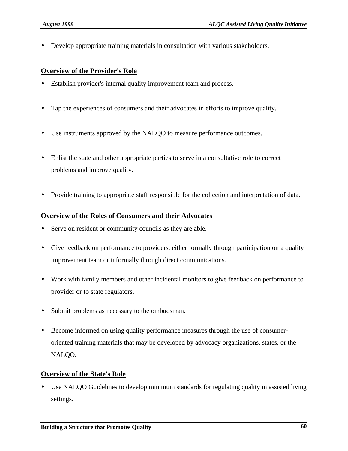• Develop appropriate training materials in consultation with various stakeholders.

## **Overview of the Provider's Role**

- Establish provider's internal quality improvement team and process.
- Tap the experiences of consumers and their advocates in efforts to improve quality.
- Use instruments approved by the NALQO to measure performance outcomes.
- Enlist the state and other appropriate parties to serve in a consultative role to correct problems and improve quality.
- Provide training to appropriate staff responsible for the collection and interpretation of data.

## **Overview of the Roles of Consumers and their Advocates**

- Serve on resident or community councils as they are able.
- Give feedback on performance to providers, either formally through participation on a quality improvement team or informally through direct communications.
- Work with family members and other incidental monitors to give feedback on performance to provider or to state regulators.
- Submit problems as necessary to the ombudsman.
- Become informed on using quality performance measures through the use of consumeroriented training materials that may be developed by advocacy organizations, states, or the NALQO.

## **Overview of the State's Role**

• Use NALQO Guidelines to develop minimum standards for regulating quality in assisted living settings.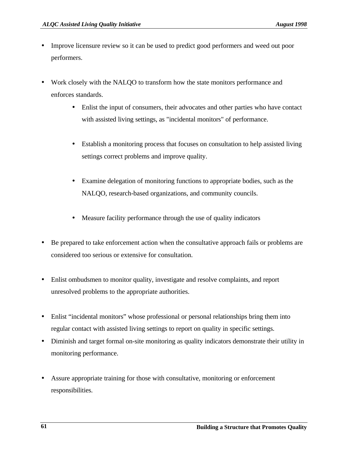- Improve licensure review so it can be used to predict good performers and weed out poor performers.
- Work closely with the NALOO to transform how the state monitors performance and enforces standards.
	- Enlist the input of consumers, their advocates and other parties who have contact with assisted living settings, as "incidental monitors" of performance.
	- Establish a monitoring process that focuses on consultation to help assisted living settings correct problems and improve quality.
	- Examine delegation of monitoring functions to appropriate bodies, such as the NALQO, research-based organizations, and community councils.
	- Measure facility performance through the use of quality indicators
- Be prepared to take enforcement action when the consultative approach fails or problems are considered too serious or extensive for consultation.
- Enlist ombudsmen to monitor quality, investigate and resolve complaints, and report unresolved problems to the appropriate authorities.
- Enlist "incidental monitors" whose professional or personal relationships bring them into regular contact with assisted living settings to report on quality in specific settings.
- Diminish and target formal on-site monitoring as quality indicators demonstrate their utility in monitoring performance.
- Assure appropriate training for those with consultative, monitoring or enforcement responsibilities.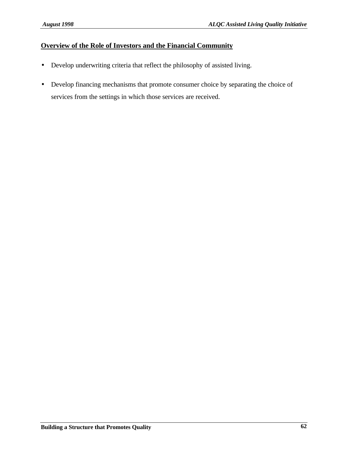## **Overview of the Role of Investors and the Financial Community**

- Develop underwriting criteria that reflect the philosophy of assisted living.
- Develop financing mechanisms that promote consumer choice by separating the choice of services from the settings in which those services are received.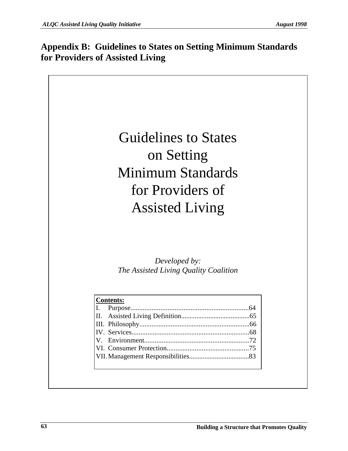## **Appendix B: Guidelines to States on Setting Minimum Standards for Providers of Assisted Living**

Guidelines to States on Setting Minimum Standards for Providers of Assisted Living

*Developed by: The Assisted Living Quality Coalition*

| <b>Contents:</b> |  |  |
|------------------|--|--|
|                  |  |  |
|                  |  |  |
|                  |  |  |
|                  |  |  |
|                  |  |  |
|                  |  |  |
|                  |  |  |
|                  |  |  |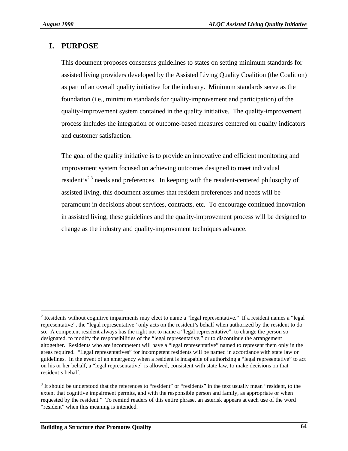$\overline{\phantom{0}}$ 

## **I. PURPOSE**

This document proposes consensus guidelines to states on setting minimum standards for assisted living providers developed by the Assisted Living Quality Coalition (the Coalition) as part of an overall quality initiative for the industry. Minimum standards serve as the foundation (i.e., minimum standards for quality-improvement and participation) of the quality-improvement system contained in the quality initiative. The quality-improvement process includes the integration of outcome-based measures centered on quality indicators and customer satisfaction.

The goal of the quality initiative is to provide an innovative and efficient monitoring and improvement system focused on achieving outcomes designed to meet individual resident's<sup>2,3</sup> needs and preferences. In keeping with the resident-centered philosophy of assisted living, this document assumes that resident preferences and needs will be paramount in decisions about services, contracts, etc. To encourage continued innovation in assisted living, these guidelines and the quality-improvement process will be designed to change as the industry and quality-improvement techniques advance.

<sup>&</sup>lt;sup>2</sup> Residents without cognitive impairments may elect to name a "legal representative." If a resident names a "legal representative", the "legal representative" only acts on the resident's behalf when authorized by the resident to do so. A competent resident always has the right not to name a "legal representative", to change the person so designated, to modify the responsibilities of the "legal representative," or to discontinue the arrangement altogether. Residents who are incompetent will have a "legal representative" named to represent them only in the areas required. "Legal representatives" for incompetent residents will be named in accordance with state law or guidelines. In the event of an emergency when a resident is incapable of authorizing a "legal representative" to act on his or her behalf, a "legal representative" is allowed, consistent with state law, to make decisions on that resident's behalf.

 $3$  It should be understood that the references to "resident" or "residents" in the text usually mean "resident, to the extent that cognitive impairment permits, and with the responsible person and family, as appropriate or when requested by the resident." To remind readers of this entire phrase, an asterisk appears at each use of the word "resident" when this meaning is intended.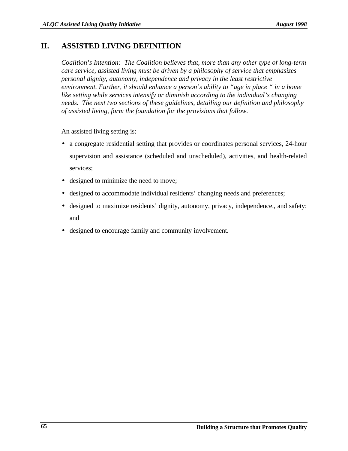## **II. ASSISTED LIVING DEFINITION**

*Coalition's Intention: The Coalition believes that, more than any other type of long-term care service, assisted living must be driven by a philosophy of service that emphasizes personal dignity, autonomy, independence and privacy in the least restrictive environment. Further, it should enhance a person's ability to "age in place " in a home like setting while services intensify or diminish according to the individual's changing needs. The next two sections of these guidelines, detailing our definition and philosophy of assisted living, form the foundation for the provisions that follow.*

An assisted living setting is:

- a congregate residential setting that provides or coordinates personal services, 24-hour supervision and assistance (scheduled and unscheduled), activities, and health-related services;
- designed to minimize the need to move;
- designed to accommodate individual residents' changing needs and preferences;
- designed to maximize residents' dignity, autonomy, privacy, independence., and safety; and
- designed to encourage family and community involvement.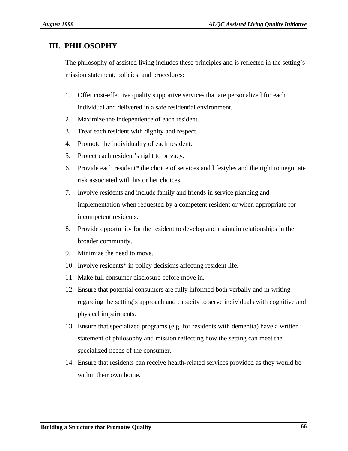## **III. PHILOSOPHY**

The philosophy of assisted living includes these principles and is reflected in the setting's mission statement, policies, and procedures:

- 1. Offer cost-effective quality supportive services that are personalized for each individual and delivered in a safe residential environment.
- 2. Maximize the independence of each resident.
- 3. Treat each resident with dignity and respect.
- 4. Promote the individuality of each resident.
- 5. Protect each resident's right to privacy.
- 6. Provide each resident\* the choice of services and lifestyles and the right to negotiate risk associated with his or her choices.
- 7. Involve residents and include family and friends in service planning and implementation when requested by a competent resident or when appropriate for incompetent residents.
- 8. Provide opportunity for the resident to develop and maintain relationships in the broader community.
- 9. Minimize the need to move.
- 10. Involve residents\* in policy decisions affecting resident life.
- 11. Make full consumer disclosure before move in.
- 12. Ensure that potential consumers are fully informed both verbally and in writing regarding the setting's approach and capacity to serve individuals with cognitive and physical impairments.
- 13. Ensure that specialized programs (e.g. for residents with dementia) have a written statement of philosophy and mission reflecting how the setting can meet the specialized needs of the consumer.
- 14. Ensure that residents can receive health-related services provided as they would be within their own home.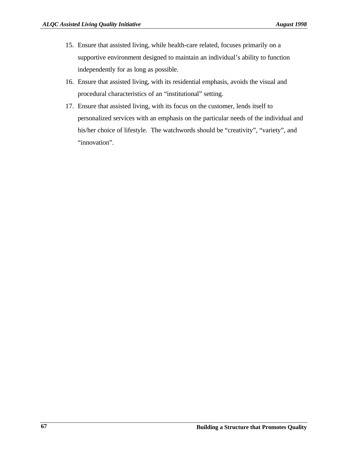- 15. Ensure that assisted living, while health-care related, focuses primarily on a supportive environment designed to maintain an individual's ability to function independently for as long as possible.
- 16. Ensure that assisted living, with its residential emphasis, avoids the visual and procedural characteristics of an "institutional" setting.
- 17. Ensure that assisted living, with its focus on the customer, lends itself to personalized services with an emphasis on the particular needs of the individual and his/her choice of lifestyle. The watchwords should be "creativity", "variety", and "innovation".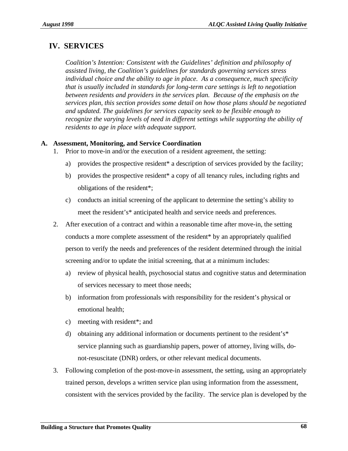## **IV. SERVICES**

*Coalition's Intention: Consistent with the Guidelines' definition and philosophy of assisted living, the Coalition's guidelines for standards governing services stress individual choice and the ability to age in place. As a consequence, much specificity that is usually included in standards for long-term care settings is left to negotiation between residents and providers in the services plan. Because of the emphasis on the services plan, this section provides some detail on how those plans should be negotiated and updated. The guidelines for services capacity seek to be flexible enough to recognize the varying levels of need in different settings while supporting the ability of residents to age in place with adequate support.*

## **A. Assessment, Monitoring, and Service Coordination**

- 1. Prior to move-in and/or the execution of a resident agreement, the setting:
	- a) provides the prospective resident\* a description of services provided by the facility;
	- b) provides the prospective resident\* a copy of all tenancy rules, including rights and obligations of the resident\*;
	- c) conducts an initial screening of the applicant to determine the setting's ability to meet the resident's\* anticipated health and service needs and preferences.
- 2. After execution of a contract and within a reasonable time after move-in, the setting conducts a more complete assessment of the resident\* by an appropriately qualified person to verify the needs and preferences of the resident determined through the initial screening and/or to update the initial screening, that at a minimum includes:
	- a) review of physical health, psychosocial status and cognitive status and determination of services necessary to meet those needs;
	- b) information from professionals with responsibility for the resident's physical or emotional health;
	- c) meeting with resident\*; and
	- d) obtaining any additional information or documents pertinent to the resident's\* service planning such as guardianship papers, power of attorney, living wills, donot-resuscitate (DNR) orders, or other relevant medical documents.
- 3. Following completion of the post-move-in assessment, the setting, using an appropriately trained person, develops a written service plan using information from the assessment, consistent with the services provided by the facility. The service plan is developed by the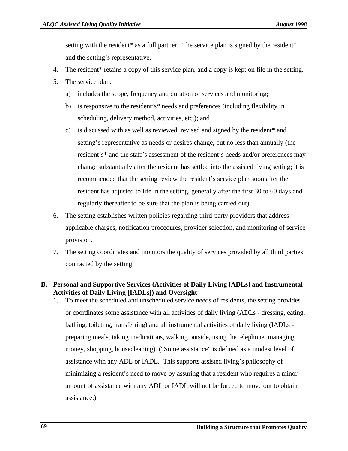setting with the resident\* as a full partner. The service plan is signed by the resident\* and the setting's representative.

- 4. The resident\* retains a copy of this service plan, and a copy is kept on file in the setting.
- 5. The service plan:
	- a) includes the scope, frequency and duration of services and monitoring;
	- b) is responsive to the resident's\* needs and preferences (including flexibility in scheduling, delivery method, activities, etc.); and
	- c) is discussed with as well as reviewed, revised and signed by the resident\* and setting's representative as needs or desires change, but no less than annually (the resident's\* and the staff's assessment of the resident's needs and/or preferences may change substantially after the resident has settled into the assisted living setting; it is recommended that the setting review the resident's service plan soon after the resident has adjusted to life in the setting, generally after the first 30 to 60 days and regularly thereafter to be sure that the plan is being carried out).
- 6. The setting establishes written policies regarding third-party providers that address applicable charges, notification procedures, provider selection, and monitoring of service provision.
- 7. The setting coordinates and monitors the quality of services provided by all third parties contracted by the setting.

## **B. Personal and Supportive Services (Activities of Daily Living [ADLs] and Instrumental Activities of Daily Living [IADLs]) and Oversight**

1. To meet the scheduled and unscheduled service needs of residents, the setting provides or coordinates some assistance with all activities of daily living (ADLs - dressing, eating, bathing, toileting, transferring) and all instrumental activities of daily living (IADLs preparing meals, taking medications, walking outside, using the telephone, managing money, shopping, housecleaning). ("Some assistance" is defined as a modest level of assistance with any ADL or IADL. This supports assisted living's philosophy of minimizing a resident's need to move by assuring that a resident who requires a minor amount of assistance with any ADL or IADL will not be forced to move out to obtain assistance.)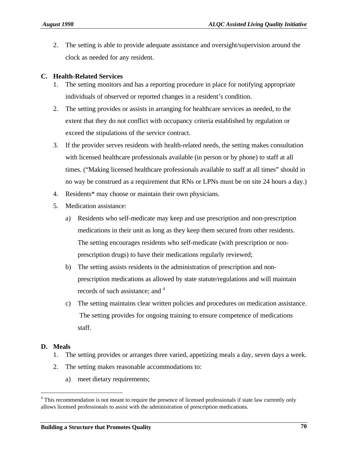2. The setting is able to provide adequate assistance and oversight/supervision around the clock as needed for any resident.

### **C. Health-Related Services**

- 1. The setting monitors and has a reporting procedure in place for notifying appropriate individuals of observed or reported changes in a resident's condition.
- 2. The setting provides or assists in arranging for healthcare services as needed, to the extent that they do not conflict with occupancy criteria established by regulation or exceed the stipulations of the service contract.
- 3. If the provider serves residents with health-related needs, the setting makes consultation with licensed healthcare professionals available (in person or by phone) to staff at all times. ("Making licensed healthcare professionals available to staff at all times" should in no way be construed as a requirement that RNs or LPNs must be on site 24 hours a day.)
- 4. Residents\* may choose or maintain their own physicians.
- 5. Medication assistance:
	- a) Residents who self-medicate may keep and use prescription and non-prescription medications in their unit as long as they keep them secured from other residents. The setting encourages residents who self-medicate (with prescription or nonprescription drugs) to have their medications regularly reviewed;
	- b) The setting assists residents in the administration of prescription and nonprescription medications as allowed by state statute/regulations and will maintain records of such assistance; and <sup>4</sup>
	- c) The setting maintains clear written policies and procedures on medication assistance. The setting provides for ongoing training to ensure competence of medications staff.

### **D. Meals**

i

- 1. The setting provides or arranges three varied, appetizing meals a day, seven days a week.
- 2. The setting makes reasonable accommodations to:
	- a) meet dietary requirements;

<sup>&</sup>lt;sup>4</sup> This recommendation is not meant to require the presence of licensed professionals if state law currently only allows licensed professionals to assist with the administration of prescription medications.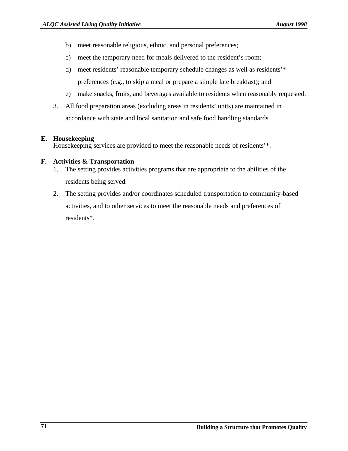- b) meet reasonable religious, ethnic, and personal preferences;
- c) meet the temporary need for meals delivered to the resident's room;
- d) meet residents' reasonable temporary schedule changes as well as residents'\* preferences (e.g., to skip a meal or prepare a simple late breakfast); and
- e) make snacks, fruits, and beverages available to residents when reasonably requested.
- 3. All food preparation areas (excluding areas in residents' units) are maintained in accordance with state and local sanitation and safe food handling standards.

### **E. Housekeeping**

Housekeeping services are provided to meet the reasonable needs of residents'\*.

### **F. Activities & Transportation**

- 1. The setting provides activities programs that are appropriate to the abilities of the residents being served.
- 2. The setting provides and/or coordinates scheduled transportation to community-based activities, and to other services to meet the reasonable needs and preferences of residents\*.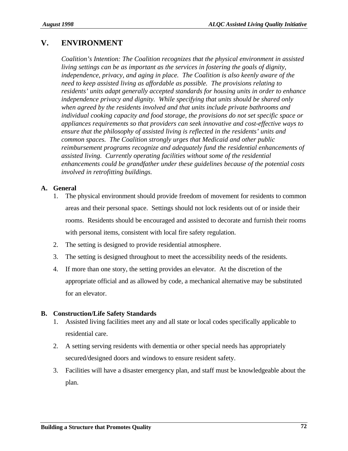## **V. ENVIRONMENT**

*Coalition's Intention: The Coalition recognizes that the physical environment in assisted living settings can be as important as the services in fostering the goals of dignity, independence, privacy, and aging in place. The Coalition is also keenly aware of the need to keep assisted living as affordable as possible. The provisions relating to residents' units adapt generally accepted standards for housing units in order to enhance independence privacy and dignity. While specifying that units should be shared only when agreed by the residents involved and that units include private bathrooms and individual cooking capacity and food storage, the provisions do not set specific space or appliances requirements so that providers can seek innovative and cost-effective ways to ensure that the philosophy of assisted living is reflected in the residents' units and common spaces. The Coalition strongly urges that Medicaid and other public reimbursement programs recognize and adequately fund the residential enhancements of assisted living. Currently operating facilities without some of the residential enhancements could be grandfather under these guidelines because of the potential costs involved in retrofitting buildings.*

### **A. General**

- 1. The physical environment should provide freedom of movement for residents to common areas and their personal space. Settings should not lock residents out of or inside their rooms. Residents should be encouraged and assisted to decorate and furnish their rooms with personal items, consistent with local fire safety regulation.
- 2. The setting is designed to provide residential atmosphere.
- 3. The setting is designed throughout to meet the accessibility needs of the residents.
- 4. If more than one story, the setting provides an elevator. At the discretion of the appropriate official and as allowed by code, a mechanical alternative may be substituted for an elevator.

### **B. Construction/Life Safety Standards**

- 1. Assisted living facilities meet any and all state or local codes specifically applicable to residential care.
- 2. A setting serving residents with dementia or other special needs has appropriately secured/designed doors and windows to ensure resident safety.
- 3. Facilities will have a disaster emergency plan, and staff must be knowledgeable about the plan.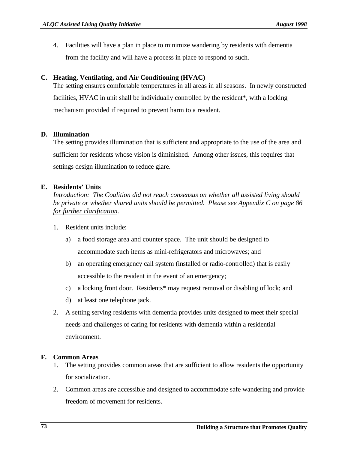4. Facilities will have a plan in place to minimize wandering by residents with dementia from the facility and will have a process in place to respond to such.

### **C. Heating, Ventilating, and Air Conditioning (HVAC)**

The setting ensures comfortable temperatures in all areas in all seasons. In newly constructed facilities, HVAC in unit shall be individually controlled by the resident\*, with a locking mechanism provided if required to prevent harm to a resident.

### **D. Illumination**

The setting provides illumination that is sufficient and appropriate to the use of the area and sufficient for residents whose vision is diminished. Among other issues, this requires that settings design illumination to reduce glare.

### **E. Residents' Units**

*Introduction: The Coalition did not reach consensus on whether all assisted living should be private or whether shared units should be permitted. Please see Appendix C on page 86 for further clarification.*

- 1. Resident units include:
	- a) a food storage area and counter space. The unit should be designed to accommodate such items as mini-refrigerators and microwaves; and
	- b) an operating emergency call system (installed or radio-controlled) that is easily accessible to the resident in the event of an emergency;
	- c) a locking front door. Residents\* may request removal or disabling of lock; and
	- d) at least one telephone jack.
- 2. A setting serving residents with dementia provides units designed to meet their special needs and challenges of caring for residents with dementia within a residential environment.

#### **F. Common Areas**

- 1. The setting provides common areas that are sufficient to allow residents the opportunity for socialization.
- 2. Common areas are accessible and designed to accommodate safe wandering and provide freedom of movement for residents.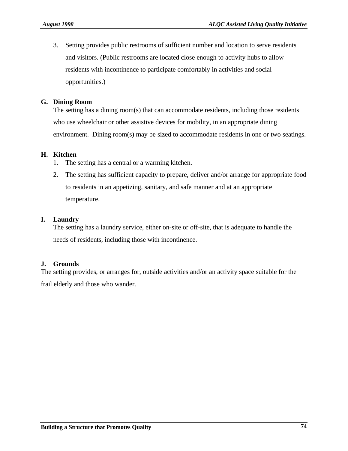3. Setting provides public restrooms of sufficient number and location to serve residents and visitors. (Public restrooms are located close enough to activity hubs to allow residents with incontinence to participate comfortably in activities and social opportunities.)

### **G. Dining Room**

The setting has a dining room(s) that can accommodate residents, including those residents who use wheelchair or other assistive devices for mobility, in an appropriate dining environment. Dining room(s) may be sized to accommodate residents in one or two seatings.

### **H. Kitchen**

- 1. The setting has a central or a warming kitchen.
- 2. The setting has sufficient capacity to prepare, deliver and/or arrange for appropriate food to residents in an appetizing, sanitary, and safe manner and at an appropriate temperature.

### **I. Laundry**

The setting has a laundry service, either on-site or off-site, that is adequate to handle the needs of residents, including those with incontinence.

## **J. Grounds**

The setting provides, or arranges for, outside activities and/or an activity space suitable for the frail elderly and those who wander.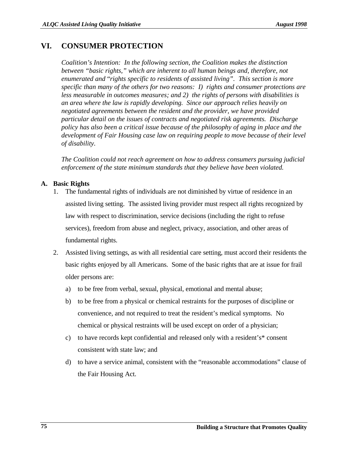## **VI. CONSUMER PROTECTION**

*Coalition's Intention: In the following section, the Coalition makes the distinction between "basic rights," which are inherent to all human beings and, therefore, not enumerated and* "*rights specific to residents of assisted living". This section is more specific than many of the others for two reasons: I) rights and consumer protections are less measurable in outcomes measures; and 2) the rights of persons with disabilities is an area where the law is rapidly developing. Since our approach relies heavily on negotiated agreements between the resident and the provider, we have provided particular detail on the issues of contracts and negotiated risk agreements. Discharge policy has also been a critical issue because of the philosophy of aging in place and the development of Fair Housing case law on requiring people to move because of their level of disability.*

*The Coalition could not reach agreement on how to address consumers pursuing judicial enforcement of the state minimum standards that they believe have been violated.*

## **A. Basic Rights**

- 1. The fundamental rights of individuals are not diminished by virtue of residence in an assisted living setting. The assisted living provider must respect all rights recognized by law with respect to discrimination, service decisions (including the right to refuse services), freedom from abuse and neglect, privacy, association, and other areas of fundamental rights.
- 2. Assisted living settings, as with all residential care setting, must accord their residents the basic rights enjoyed by all Americans. Some of the basic rights that are at issue for frail older persons are:
	- a) to be free from verbal, sexual, physical, emotional and mental abuse;
	- b) to be free from a physical or chemical restraints for the purposes of discipline or convenience, and not required to treat the resident's medical symptoms. No chemical or physical restraints will be used except on order of a physician;
	- c) to have records kept confidential and released only with a resident's\* consent consistent with state law; and
	- d) to have a service animal, consistent with the "reasonable accommodations" clause of the Fair Housing Act.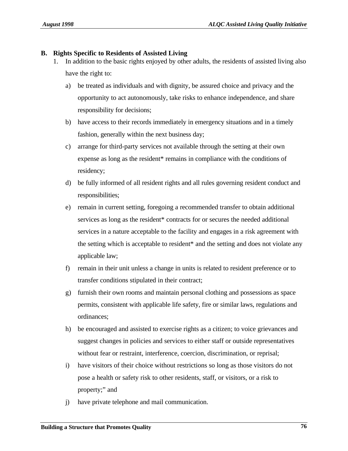### **B. Rights Specific to Residents of Assisted Living**

- 1. In addition to the basic rights enjoyed by other adults, the residents of assisted living also have the right to:
	- a) be treated as individuals and with dignity, be assured choice and privacy and the opportunity to act autonomously, take risks to enhance independence, and share responsibility for decisions;
	- b) have access to their records immediately in emergency situations and in a timely fashion, generally within the next business day;
	- c) arrange for third-party services not available through the setting at their own expense as long as the resident\* remains in compliance with the conditions of residency;
	- d) be fully informed of all resident rights and all rules governing resident conduct and responsibilities;
	- e) remain in current setting, foregoing a recommended transfer to obtain additional services as long as the resident\* contracts for or secures the needed additional services in a nature acceptable to the facility and engages in a risk agreement with the setting which is acceptable to resident\* and the setting and does not violate any applicable law;
	- f) remain in their unit unless a change in units is related to resident preference or to transfer conditions stipulated in their contract;
	- g) furnish their own rooms and maintain personal clothing and possessions as space permits, consistent with applicable life safety, fire or similar laws, regulations and ordinances;
	- h) be encouraged and assisted to exercise rights as a citizen; to voice grievances and suggest changes in policies and services to either staff or outside representatives without fear or restraint, interference, coercion, discrimination, or reprisal;
	- i) have visitors of their choice without restrictions so long as those visitors do not pose a health or safety risk to other residents, staff, or visitors, or a risk to property;" and
	- j) have private telephone and mail communication.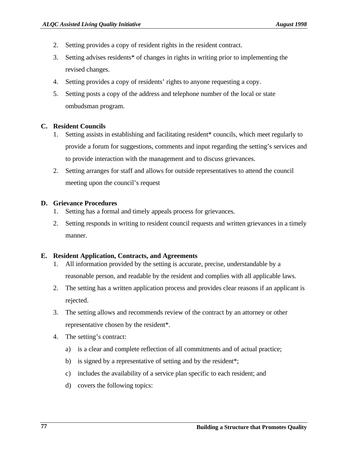- 2. Setting provides a copy of resident rights in the resident contract.
- 3. Setting advises residents\* of changes in rights in writing prior to implementing the revised changes.
- 4. Setting provides a copy of residents' rights to anyone requesting a copy.
- 5. Setting posts a copy of the address and telephone number of the local or state ombudsman program.

## **C. Resident Councils**

- 1. Setting assists in establishing and facilitating resident\* councils, which meet regularly to provide a forum for suggestions, comments and input regarding the setting's services and to provide interaction with the management and to discuss grievances.
- 2. Setting arranges for staff and allows for outside representatives to attend the council meeting upon the council's request

## **D. Grievance Procedures**

- 1. Setting has a formal and timely appeals process for grievances.
- 2. Setting responds in writing to resident council requests and written grievances in a timely manner.

## **E. Resident Application, Contracts, and Agreements**

- 1. All information provided by the setting is accurate, precise, understandable by a reasonable person, and readable by the resident and complies with all applicable laws.
- 2. The setting has a written application process and provides clear reasons if an applicant is rejected.
- 3. The setting allows and recommends review of the contract by an attorney or other representative chosen by the resident\*.
- 4. The setting's contract:
	- a) is a clear and complete reflection of all commitments and of actual practice;
	- b) is signed by a representative of setting and by the resident\*;
	- c) includes the availability of a service plan specific to each resident; and
	- d) covers the following topics: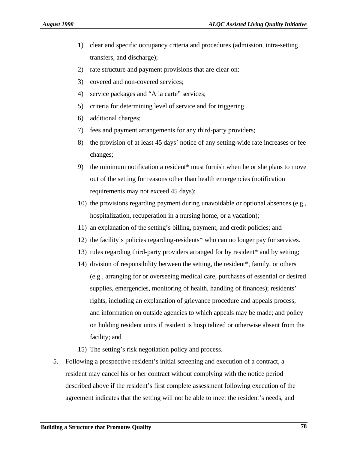- 1) clear and specific occupancy criteria and procedures (admission, intra-setting transfers, and discharge);
- 2) rate structure and payment provisions that are clear on:
- 3) covered and non-covered services;
- 4) service packages and "A la carte" services;
- 5) criteria for determining level of service and for triggering
- 6) additional charges;
- 7) fees and payment arrangements for any third-party providers;
- 8) the provision of at least 45 days' notice of any setting-wide rate increases or fee changes;
- 9) the minimum notification a resident\* must furnish when he or she plans to move out of the setting for reasons other than health emergencies (notification requirements may not exceed 45 days);
- 10) the provisions regarding payment during unavoidable or optional absences (e.g., hospitalization, recuperation in a nursing home, or a vacation);
- 11) an explanation of the setting's billing, payment, and credit policies; and
- 12) the facility's policies regarding-residents\* who can no longer pay for services.
- 13) rules regarding third-party providers arranged for by resident\* and by setting;
- 14) division of responsibility between the setting, the resident\*, family, or others (e.g., arranging for or overseeing medical care, purchases of essential or desired supplies, emergencies, monitoring of health, handling of finances); residents' rights, including an explanation of grievance procedure and appeals process, and information on outside agencies to which appeals may be made; and policy on holding resident units if resident is hospitalized or otherwise absent from the facility; and
- 15) The setting's risk negotiation policy and process.
- 5. Following a prospective resident's initial screening and execution of a contract, a resident may cancel his or her contract without complying with the notice period described above if the resident's first complete assessment following execution of the agreement indicates that the setting will not be able to meet the resident's needs, and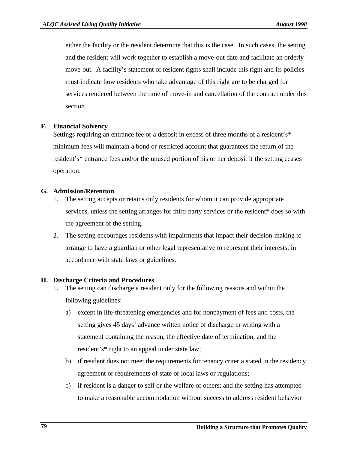either the facility or the resident determine that this is the case. In such cases, the setting and the resident will work together to establish a move-out date and facilitate an orderly move-out. A facility's statement of resident rights shall include this right and its policies must indicate how residents who take advantage of this right are to be charged for services rendered between the time of move-in and cancellation of the contract under this section.

### **F. Financial Solvency**

Settings requiring an entrance fee or a deposit in excess of three months of a resident's\* minimum fees will maintain a bond or restricted account that guarantees the return of the resident's\* entrance fees and/or the unused portion of his or her deposit if the setting ceases operation.

### **G. Admission/Retention**

- 1. The setting accepts or retains only residents for whom it can provide appropriate services, unless the setting arranges for third-party services or the resident\* does so with the agreement of the setting.
- 2. The setting encourages residents with impairments that impact their decision-making to arrange to have a guardian or other legal representative to represent their interests, in accordance with state laws or guidelines.

#### **H. Discharge Criteria and Procedures**

- 1. The setting can discharge a resident only for the following reasons and within the following guidelines:
	- a) except in life-threatening emergencies and for nonpayment of fees and costs, the setting gives 45 days' advance written notice of discharge in writing with a statement containing the reason, the effective date of termination, and the resident's\* right to an appeal under state law;
	- b) if resident does not meet the requirements for tenancy criteria stated in the residency agreement or requirements of state or local laws or regulations;
	- c) if resident is a danger to self or the welfare of others; and the setting has attempted to make a reasonable accommodation without success to address resident behavior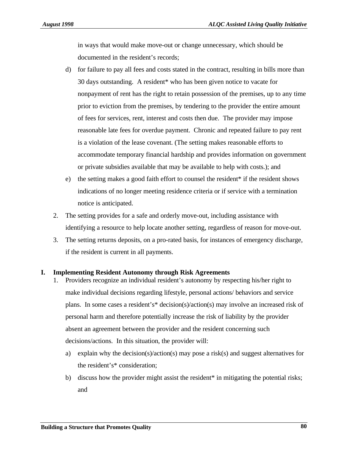in ways that would make move-out or change unnecessary, which should be documented in the resident's records;

- d) for failure to pay all fees and costs stated in the contract, resulting in bills more than 30 days outstanding. A resident\* who has been given notice to vacate for nonpayment of rent has the right to retain possession of the premises, up to any time prior to eviction from the premises, by tendering to the provider the entire amount of fees for services, rent, interest and costs then due. The provider may impose reasonable late fees for overdue payment. Chronic and repeated failure to pay rent is a violation of the lease covenant. (The setting makes reasonable efforts to accommodate temporary financial hardship and provides information on government or private subsidies available that may be available to help with costs.); and
- e) the setting makes a good faith effort to counsel the resident\* if the resident shows indications of no longer meeting residence criteria or if service with a termination notice is anticipated.
- 2. The setting provides for a safe and orderly move-out, including assistance with identifying a resource to help locate another setting, regardless of reason for move-out.
- 3. The setting returns deposits, on a pro-rated basis, for instances of emergency discharge, if the resident is current in all payments.

### **I. Implementing Resident Autonomy through Risk Agreements**

- 1. Providers recognize an individual resident's autonomy by respecting his/her right to make individual decisions regarding lifestyle, personal actions/ behaviors and service plans. In some cases a resident's\* decision(s)/action(s) may involve an increased risk of personal harm and therefore potentially increase the risk of liability by the provider absent an agreement between the provider and the resident concerning such decisions/actions. In this situation, the provider will:
	- a) explain why the decision(s)/action(s) may pose a risk(s) and suggest alternatives for the resident's\* consideration;
	- b) discuss how the provider might assist the resident\* in mitigating the potential risks; and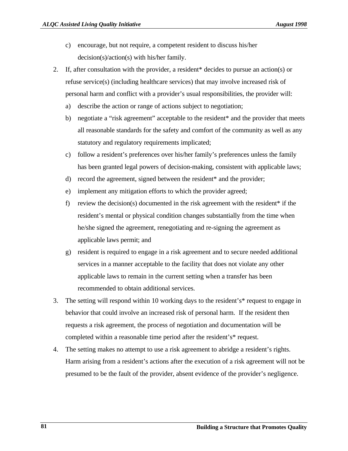- c) encourage, but not require, a competent resident to discuss his/her decision(s)/action(s) with his/her family.
- 2. If, after consultation with the provider, a resident\* decides to pursue an action(s) or refuse service(s) (including healthcare services) that may involve increased risk of personal harm and conflict with a provider's usual responsibilities, the provider will:
	- a) describe the action or range of actions subject to negotiation;
	- b) negotiate a "risk agreement" acceptable to the resident\* and the provider that meets all reasonable standards for the safety and comfort of the community as well as any statutory and regulatory requirements implicated;
	- c) follow a resident's preferences over his/her family's preferences unless the family has been granted legal powers of decision-making, consistent with applicable laws;
	- d) record the agreement, signed between the resident\* and the provider;
	- e) implement any mitigation efforts to which the provider agreed;
	- f) review the decision(s) documented in the risk agreement with the resident\* if the resident's mental or physical condition changes substantially from the time when he/she signed the agreement, renegotiating and re-signing the agreement as applicable laws permit; and
	- g) resident is required to engage in a risk agreement and to secure needed additional services in a manner acceptable to the facility that does not violate any other applicable laws to remain in the current setting when a transfer has been recommended to obtain additional services.
- 3. The setting will respond within 10 working days to the resident's\* request to engage in behavior that could involve an increased risk of personal harm. If the resident then requests a risk agreement, the process of negotiation and documentation will be completed within a reasonable time period after the resident's\* request.
- 4. The setting makes no attempt to use a risk agreement to abridge a resident's rights. Harm arising from a resident's actions after the execution of a risk agreement will not be presumed to be the fault of the provider, absent evidence of the provider's negligence.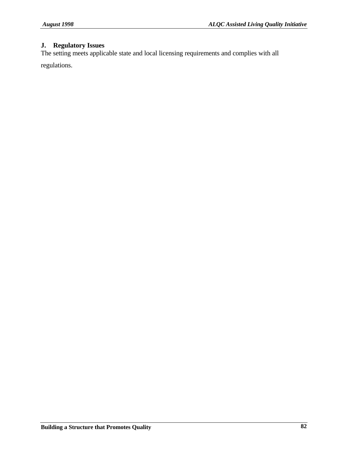## **J. Regulatory Issues**

The setting meets applicable state and local licensing requirements and complies with all

regulations.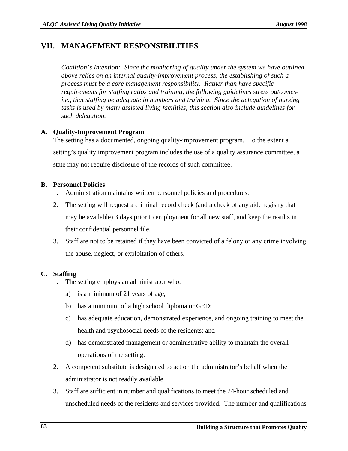## **VII. MANAGEMENT RESPONSIBILITIES**

*Coalition's Intention: Since the monitoring of quality under the system we have outlined above relies on an internal quality-improvement process, the establishing of such a process must be a core management responsibility. Rather than have specific requirements for staffing ratios and training, the following guidelines stress outcomesi.e., that staffing be adequate in numbers and training. Since the delegation of nursing tasks is used by many assisted living facilities, this section also include guidelines for such delegation.*

### **A. Quality-Improvement Program**

The setting has a documented, ongoing quality-improvement program. To the extent a setting's quality improvement program includes the use of a quality assurance committee, a state may not require disclosure of the records of such committee.

### **B. Personnel Policies**

- 1. Administration maintains written personnel policies and procedures.
- 2. The setting will request a criminal record check (and a check of any aide registry that may be available) 3 days prior to employment for all new staff, and keep the results in their confidential personnel file.
- 3. Staff are not to be retained if they have been convicted of a felony or any crime involving the abuse, neglect, or exploitation of others.

## **C. Staffing**

- 1. The setting employs an administrator who:
	- a) is a minimum of 21 years of age;
	- b) has a minimum of a high school diploma or GED;
	- c) has adequate education, demonstrated experience, and ongoing training to meet the health and psychosocial needs of the residents; and
	- d) has demonstrated management or administrative ability to maintain the overall operations of the setting.
- 2. A competent substitute is designated to act on the administrator's behalf when the administrator is not readily available.
- 3. Staff are sufficient in number and qualifications to meet the 24-hour scheduled and unscheduled needs of the residents and services provided. The number and qualifications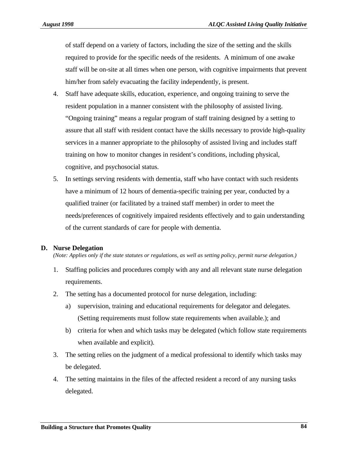of staff depend on a variety of factors, including the size of the setting and the skills required to provide for the specific needs of the residents. A minimum of one awake staff will be on-site at all times when one person, with cognitive impairments that prevent him/her from safely evacuating the facility independently, is present.

- 4. Staff have adequate skills, education, experience, and ongoing training to serve the resident population in a manner consistent with the philosophy of assisted living. "Ongoing training" means a regular program of staff training designed by a setting to assure that all staff with resident contact have the skills necessary to provide high-quality services in a manner appropriate to the philosophy of assisted living and includes staff training on how to monitor changes in resident's conditions, including physical, cognitive, and psychosocial status.
- 5. In settings serving residents with dementia, staff who have contact with such residents have a minimum of 12 hours of dementia-specific training per year, conducted by a qualified trainer (or facilitated by a trained staff member) in order to meet the needs/preferences of cognitively impaired residents effectively and to gain understanding of the current standards of care for people with dementia.

### **D. Nurse Delegation**

*(Note: Applies only if the state statutes or regulations, as well as setting policy, permit nurse delegation.)*

- 1. Staffing policies and procedures comply with any and all relevant state nurse delegation requirements.
- 2. The setting has a documented protocol for nurse delegation, including:
	- a) supervision, training and educational requirements for delegator and delegates. (Setting requirements must follow state requirements when available.); and
	- b) criteria for when and which tasks may be delegated (which follow state requirements when available and explicit).
- 3. The setting relies on the judgment of a medical professional to identify which tasks may be delegated.
- 4. The setting maintains in the files of the affected resident a record of any nursing tasks delegated.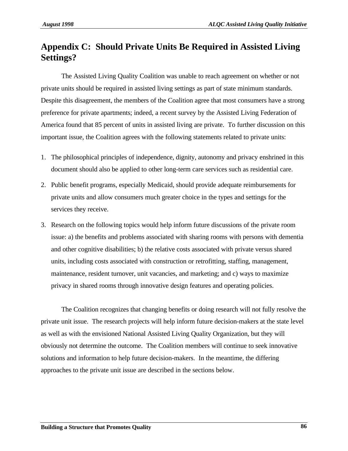# **Appendix C: Should Private Units Be Required in Assisted Living Settings?**

The Assisted Living Quality Coalition was unable to reach agreement on whether or not private units should be required in assisted living settings as part of state minimum standards. Despite this disagreement, the members of the Coalition agree that most consumers have a strong preference for private apartments; indeed, a recent survey by the Assisted Living Federation of America found that 85 percent of units in assisted living are private. To further discussion on this important issue, the Coalition agrees with the following statements related to private units:

- 1. The philosophical principles of independence, dignity, autonomy and privacy enshrined in this document should also be applied to other long-term care services such as residential care.
- 2. Public benefit programs, especially Medicaid, should provide adequate reimbursements for private units and allow consumers much greater choice in the types and settings for the services they receive.
- 3. Research on the following topics would help inform future discussions of the private room issue: a) the benefits and problems associated with sharing rooms with persons with dementia and other cognitive disabilities; b) the relative costs associated with private versus shared units, including costs associated with construction or retrofitting, staffing, management, maintenance, resident turnover, unit vacancies, and marketing; and c) ways to maximize privacy in shared rooms through innovative design features and operating policies.

The Coalition recognizes that changing benefits or doing research will not fully resolve the private unit issue. The research projects will help inform future decision-makers at the state level as well as with the envisioned National Assisted Living Quality Organization, but they will obviously not determine the outcome. The Coalition members will continue to seek innovative solutions and information to help future decision-makers. In the meantime, the differing approaches to the private unit issue are described in the sections below.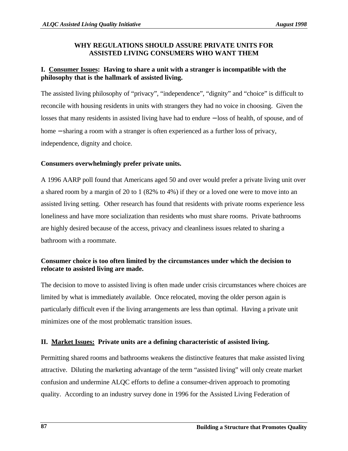## **WHY REGULATIONS SHOULD ASSURE PRIVATE UNITS FOR ASSISTED LIVING CONSUMERS WHO WANT THEM**

## **I. Consumer Issues: Having to share a unit with a stranger is incompatible with the philosophy that is the hallmark of assisted living.**

The assisted living philosophy of "privacy", "independence", "dignity" and "choice" is difficult to reconcile with housing residents in units with strangers they had no voice in choosing. Given the losses that many residents in assisted living have had to endure − loss of health, of spouse, and of home – sharing a room with a stranger is often experienced as a further loss of privacy, independence, dignity and choice.

## **Consumers overwhelmingly prefer private units.**

A 1996 AARP poll found that Americans aged 50 and over would prefer a private living unit over a shared room by a margin of 20 to 1 (82% to 4%) if they or a loved one were to move into an assisted living setting. Other research has found that residents with private rooms experience less loneliness and have more socialization than residents who must share rooms. Private bathrooms are highly desired because of the access, privacy and cleanliness issues related to sharing a bathroom with a roommate.

## **Consumer choice is too often limited by the circumstances under which the decision to relocate to assisted living are made.**

The decision to move to assisted living is often made under crisis circumstances where choices are limited by what is immediately available. Once relocated, moving the older person again is particularly difficult even if the living arrangements are less than optimal. Having a private unit minimizes one of the most problematic transition issues.

## **II. Market Issues: Private units are a defining characteristic of assisted living.**

Permitting shared rooms and bathrooms weakens the distinctive features that make assisted living attractive. Diluting the marketing advantage of the term "assisted living" will only create market confusion and undermine ALQC efforts to define a consumer-driven approach to promoting quality. According to an industry survey done in 1996 for the Assisted Living Federation of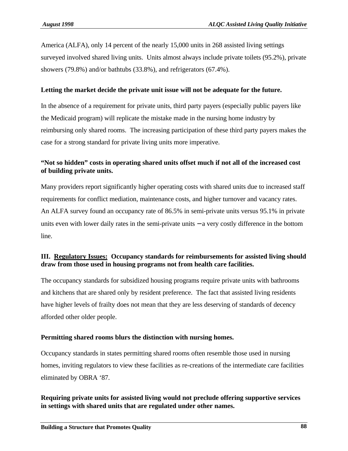America (ALFA), only 14 percent of the nearly 15,000 units in 268 assisted living settings surveyed involved shared living units. Units almost always include private toilets (95.2%), private showers (79.8%) and/or bathtubs (33.8%), and refrigerators (67.4%).

### **Letting the market decide the private unit issue will not be adequate for the future.**

In the absence of a requirement for private units, third party payers (especially public payers like the Medicaid program) will replicate the mistake made in the nursing home industry by reimbursing only shared rooms. The increasing participation of these third party payers makes the case for a strong standard for private living units more imperative.

## **"Not so hidden" costs in operating shared units offset much if not all of the increased cost of building private units.**

Many providers report significantly higher operating costs with shared units due to increased staff requirements for conflict mediation, maintenance costs, and higher turnover and vacancy rates. An ALFA survey found an occupancy rate of 86.5% in semi-private units versus 95.1% in private units even with lower daily rates in the semi-private units − a very costly difference in the bottom line.

## **III. Regulatory Issues: Occupancy standards for reimbursements for assisted living should draw from those used in housing programs not from health care facilities.**

The occupancy standards for subsidized housing programs require private units with bathrooms and kitchens that are shared only by resident preference. The fact that assisted living residents have higher levels of frailty does not mean that they are less deserving of standards of decency afforded other older people.

#### **Permitting shared rooms blurs the distinction with nursing homes.**

Occupancy standards in states permitting shared rooms often resemble those used in nursing homes, inviting regulators to view these facilities as re-creations of the intermediate care facilities eliminated by OBRA '87.

### **Requiring private units for assisted living would not preclude offering supportive services in settings with shared units that are regulated under other names.**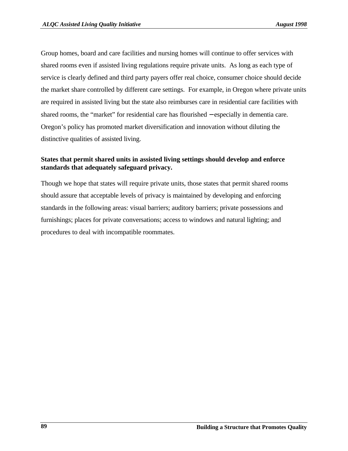Group homes, board and care facilities and nursing homes will continue to offer services with shared rooms even if assisted living regulations require private units. As long as each type of service is clearly defined and third party payers offer real choice, consumer choice should decide the market share controlled by different care settings. For example, in Oregon where private units are required in assisted living but the state also reimburses care in residential care facilities with shared rooms, the "market" for residential care has flourished − especially in dementia care. Oregon's policy has promoted market diversification and innovation without diluting the distinctive qualities of assisted living.

## **States that permit shared units in assisted living settings should develop and enforce standards that adequately safeguard privacy.**

Though we hope that states will require private units, those states that permit shared rooms should assure that acceptable levels of privacy is maintained by developing and enforcing standards in the following areas: visual barriers; auditory barriers; private possessions and furnishings; places for private conversations; access to windows and natural lighting; and procedures to deal with incompatible roommates.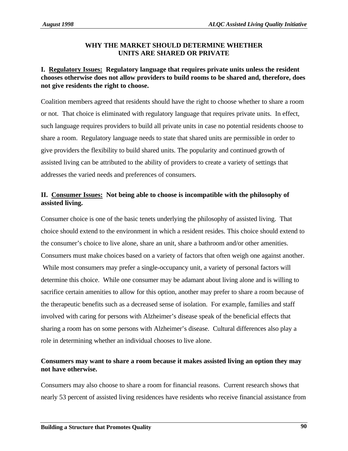## **WHY THE MARKET SHOULD DETERMINE WHETHER UNITS ARE SHARED OR PRIVATE**

## **I. Regulatory Issues: Regulatory language that requires private units unless the resident chooses otherwise does not allow providers to build rooms to be shared and, therefore, does not give residents the right to choose.**

Coalition members agreed that residents should have the right to choose whether to share a room or not. That choice is eliminated with regulatory language that requires private units. In effect, such language requires providers to build all private units in case no potential residents choose to share a room. Regulatory language needs to state that shared units are permissible in order to give providers the flexibility to build shared units. The popularity and continued growth of assisted living can be attributed to the ability of providers to create a variety of settings that addresses the varied needs and preferences of consumers.

## **II. Consumer Issues: Not being able to choose is incompatible with the philosophy of assisted living.**

Consumer choice is one of the basic tenets underlying the philosophy of assisted living. That choice should extend to the environment in which a resident resides. This choice should extend to the consumer's choice to live alone, share an unit, share a bathroom and/or other amenities. Consumers must make choices based on a variety of factors that often weigh one against another. While most consumers may prefer a single-occupancy unit, a variety of personal factors will determine this choice. While one consumer may be adamant about living alone and is willing to sacrifice certain amenities to allow for this option, another may prefer to share a room because of the therapeutic benefits such as a decreased sense of isolation. For example, families and staff involved with caring for persons with Alzheimer's disease speak of the beneficial effects that sharing a room has on some persons with Alzheimer's disease. Cultural differences also play a role in determining whether an individual chooses to live alone.

## **Consumers may want to share a room because it makes assisted living an option they may not have otherwise.**

Consumers may also choose to share a room for financial reasons. Current research shows that nearly 53 percent of assisted living residences have residents who receive financial assistance from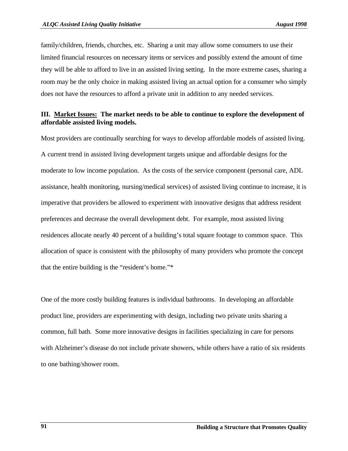family/children, friends, churches, etc. Sharing a unit may allow some consumers to use their limited financial resources on necessary items or services and possibly extend the amount of time they will be able to afford to live in an assisted living setting. In the more extreme cases, sharing a room may be the only choice in making assisted living an actual option for a consumer who simply does not have the resources to afford a private unit in addition to any needed services.

### **III. Market Issues: The market needs to be able to continue to explore the development of affordable assisted living models.**

Most providers are continually searching for ways to develop affordable models of assisted living. A current trend in assisted living development targets unique and affordable designs for the moderate to low income population. As the costs of the service component (personal care, ADL assistance, health monitoring, nursing/medical services) of assisted living continue to increase, it is imperative that providers be allowed to experiment with innovative designs that address resident preferences and decrease the overall development debt. For example, most assisted living residences allocate nearly 40 percent of a building's total square footage to common space. This allocation of space is consistent with the philosophy of many providers who promote the concept that the entire building is the "resident's home."\*

One of the more costly building features is individual bathrooms. In developing an affordable product line, providers are experimenting with design, including two private units sharing a common, full bath. Some more innovative designs in facilities specializing in care for persons with Alzheimer's disease do not include private showers, while others have a ratio of six residents to one bathing/shower room.